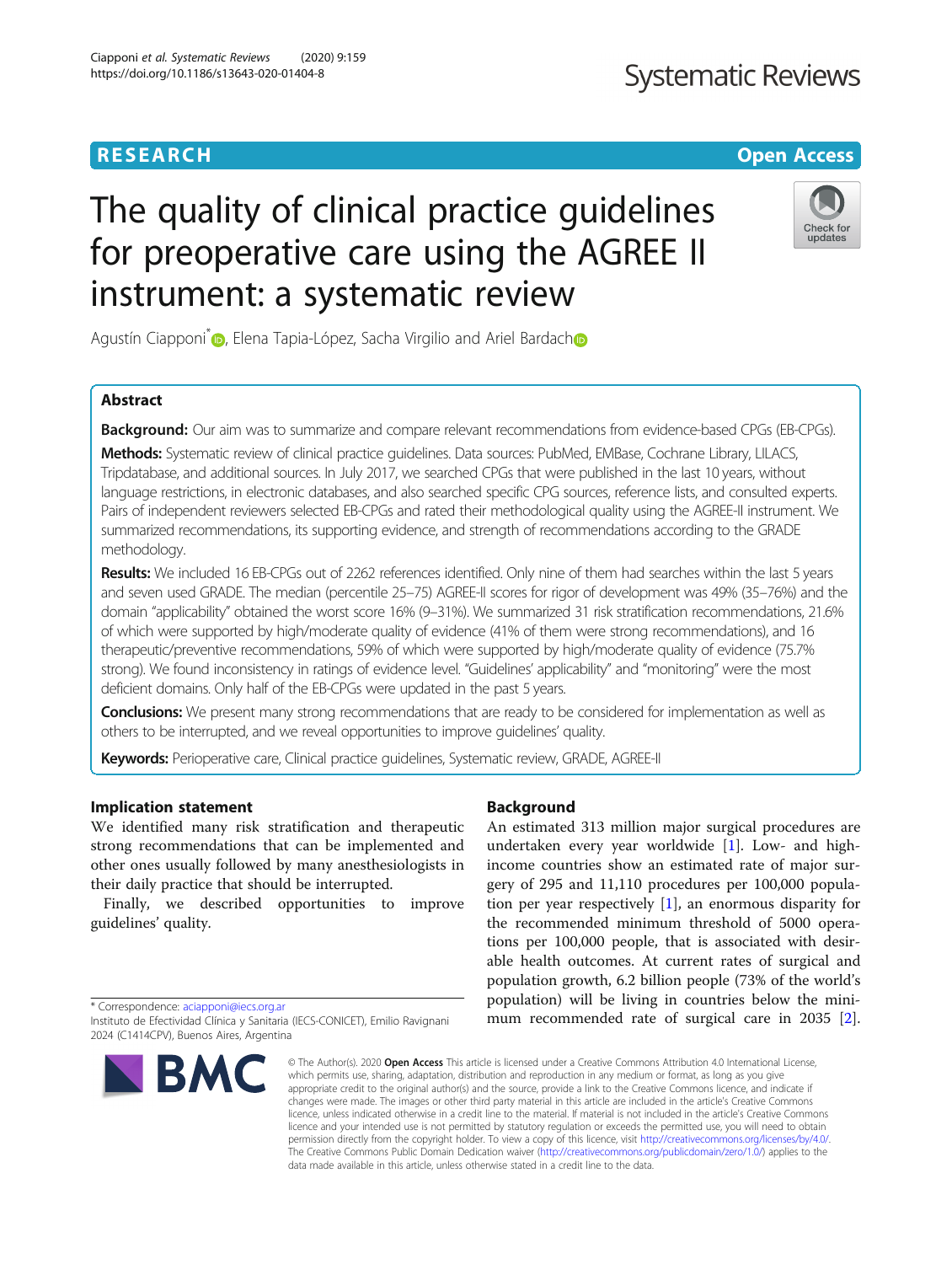# The quality of clinical practice guidelines for preoperative care using the AGREE II instrument: a systematic review

Agustín Ciapponi<sup>\*</sup> <sub>(D</sub>[,](http://orcid.org/0000-0001-5142-6122) Elena Tapia-López, Sacha Virgilio and Ariel Bardach<sup>o</sup>

# Abstract

**Background:** Our aim was to summarize and compare relevant recommendations from evidence-based CPGs (EB-CPGs).

Methods: Systematic review of clinical practice guidelines. Data sources: PubMed, EMBase, Cochrane Library, LILACS, Tripdatabase, and additional sources. In July 2017, we searched CPGs that were published in the last 10 years, without language restrictions, in electronic databases, and also searched specific CPG sources, reference lists, and consulted experts. Pairs of independent reviewers selected EB-CPGs and rated their methodological quality using the AGREE-II instrument. We summarized recommendations, its supporting evidence, and strength of recommendations according to the GRADE methodology.

Results: We included 16 EB-CPGs out of 2262 references identified. Only nine of them had searches within the last 5 years and seven used GRADE. The median (percentile 25–75) AGREE-II scores for rigor of development was 49% (35–76%) and the domain "applicability" obtained the worst score 16% (9–31%). We summarized 31 risk stratification recommendations, 21.6% of which were supported by high/moderate quality of evidence (41% of them were strong recommendations), and 16 therapeutic/preventive recommendations, 59% of which were supported by high/moderate quality of evidence (75.7% strong). We found inconsistency in ratings of evidence level. "Guidelines' applicability" and "monitoring" were the most deficient domains. Only half of the EB-CPGs were updated in the past 5 years.

**Conclusions:** We present many strong recommendations that are ready to be considered for implementation as well as others to be interrupted, and we reveal opportunities to improve guidelines' quality.

Keywords: Perioperative care, Clinical practice guidelines, Systematic review, GRADE, AGREE-II

# Implication statement

We identified many risk stratification and therapeutic strong recommendations that can be implemented and other ones usually followed by many anesthesiologists in their daily practice that should be interrupted.

Finally, we described opportunities to improve guidelines' quality.

\* Correspondence: [aciapponi@iecs.org.ar](mailto:aciapponi@iecs.org.ar) 2024 (C1414CPV), Buenos Aires, Argentina

# Background

An estimated 313 million major surgical procedures are undertaken every year worldwide [\[1](#page-14-0)]. Low- and highincome countries show an estimated rate of major surgery of 295 and 11,110 procedures per 100,000 population per year respectively [\[1](#page-14-0)], an enormous disparity for the recommended minimum threshold of 5000 operations per 100,000 people, that is associated with desirable health outcomes. At current rates of surgical and population growth, 6.2 billion people (73% of the world's population) will be living in countries below the minimum recommended rate of surgical care in 2035 [\[2](#page-14-0)].

© The Author(s), 2020 **Open Access** This article is licensed under a Creative Commons Attribution 4.0 International License, which permits use, sharing, adaptation, distribution and reproduction in any medium or format, as long as you give appropriate credit to the original author(s) and the source, provide a link to the Creative Commons licence, and indicate if changes were made. The images or other third party material in this article are included in the article's Creative Commons licence, unless indicated otherwise in a credit line to the material. If material is not included in the article's Creative Commons licence and your intended use is not permitted by statutory regulation or exceeds the permitted use, you will need to obtain permission directly from the copyright holder. To view a copy of this licence, visit [http://creativecommons.org/licenses/by/4.0/.](http://creativecommons.org/licenses/by/4.0/) The Creative Commons Public Domain Dedication waiver [\(http://creativecommons.org/publicdomain/zero/1.0/](http://creativecommons.org/publicdomain/zero/1.0/)) applies to the data made available in this article, unless otherwise stated in a credit line to the data.

Instituto de Efectividad Clínica y Sanitaria (IECS-CONICET), Emilio Ravignani







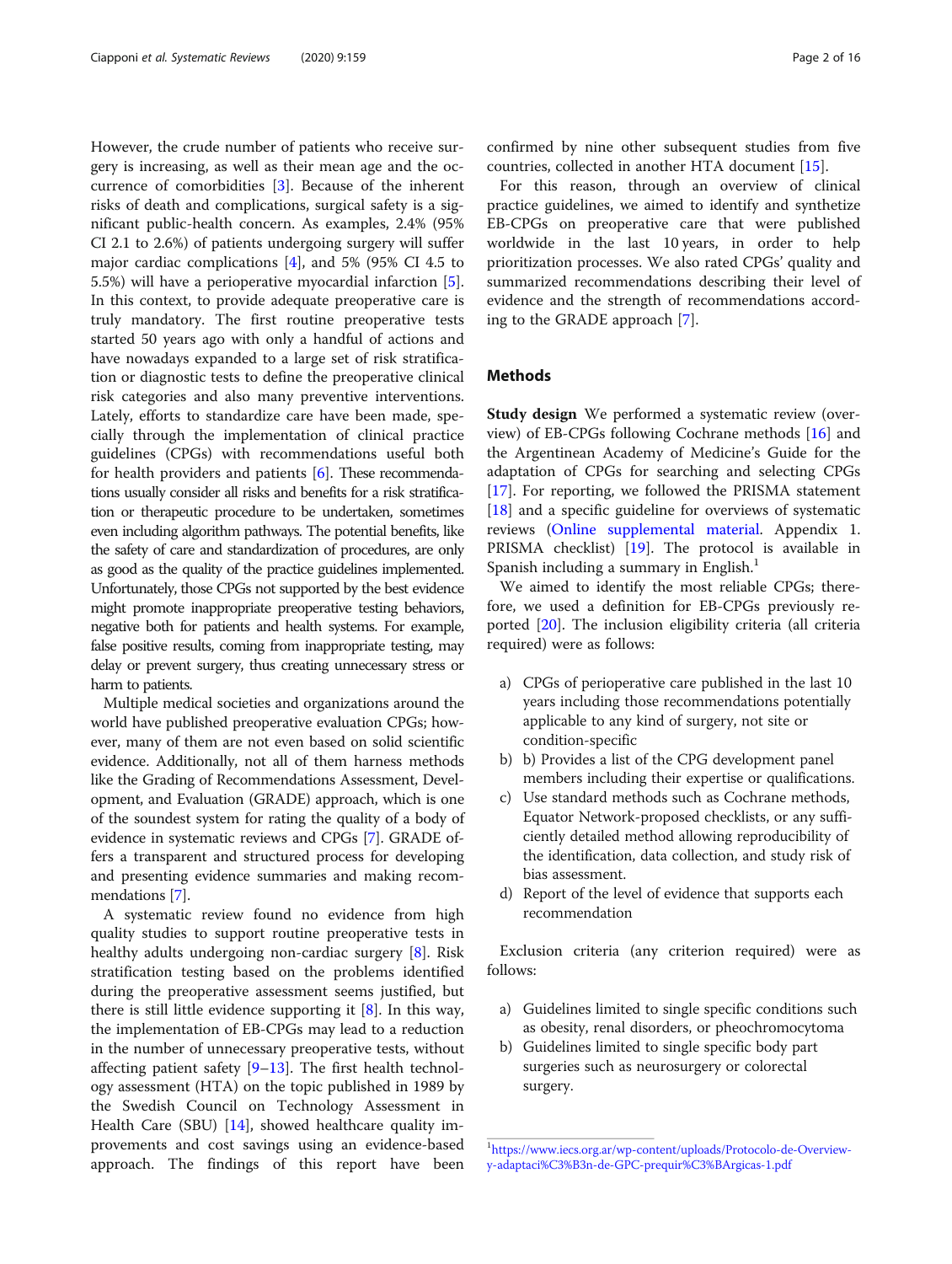However, the crude number of patients who receive surgery is increasing, as well as their mean age and the occurrence of comorbidities [[3\]](#page-14-0). Because of the inherent risks of death and complications, surgical safety is a significant public-health concern. As examples, 2.4% (95% CI 2.1 to 2.6%) of patients undergoing surgery will suffer major cardiac complications [[4\]](#page-14-0), and 5% (95% CI 4.5 to 5.5%) will have a perioperative myocardial infarction [\[5](#page-14-0)]. In this context, to provide adequate preoperative care is truly mandatory. The first routine preoperative tests started 50 years ago with only a handful of actions and have nowadays expanded to a large set of risk stratification or diagnostic tests to define the preoperative clinical risk categories and also many preventive interventions. Lately, efforts to standardize care have been made, specially through the implementation of clinical practice guidelines (CPGs) with recommendations useful both for health providers and patients [\[6](#page-14-0)]. These recommendations usually consider all risks and benefits for a risk stratification or therapeutic procedure to be undertaken, sometimes even including algorithm pathways. The potential benefits, like the safety of care and standardization of procedures, are only as good as the quality of the practice guidelines implemented. Unfortunately, those CPGs not supported by the best evidence might promote inappropriate preoperative testing behaviors, negative both for patients and health systems. For example, false positive results, coming from inappropriate testing, may delay or prevent surgery, thus creating unnecessary stress or harm to patients.

Multiple medical societies and organizations around the world have published preoperative evaluation CPGs; however, many of them are not even based on solid scientific evidence. Additionally, not all of them harness methods like the Grading of Recommendations Assessment, Development, and Evaluation (GRADE) approach, which is one of the soundest system for rating the quality of a body of evidence in systematic reviews and CPGs [\[7\]](#page-14-0). GRADE offers a transparent and structured process for developing and presenting evidence summaries and making recommendations [\[7](#page-14-0)].

A systematic review found no evidence from high quality studies to support routine preoperative tests in healthy adults undergoing non-cardiac surgery [\[8\]](#page-14-0). Risk stratification testing based on the problems identified during the preoperative assessment seems justified, but there is still little evidence supporting it [[8\]](#page-14-0). In this way, the implementation of EB-CPGs may lead to a reduction in the number of unnecessary preoperative tests, without affecting patient safety [[9](#page-14-0)–[13](#page-14-0)]. The first health technology assessment (HTA) on the topic published in 1989 by the Swedish Council on Technology Assessment in Health Care (SBU) [[14](#page-14-0)], showed healthcare quality improvements and cost savings using an evidence-based approach. The findings of this report have been confirmed by nine other subsequent studies from five countries, collected in another HTA document [\[15](#page-14-0)].

For this reason, through an overview of clinical practice guidelines, we aimed to identify and synthetize EB-CPGs on preoperative care that were published worldwide in the last 10 years, in order to help prioritization processes. We also rated CPGs' quality and summarized recommendations describing their level of evidence and the strength of recommendations according to the GRADE approach [\[7\]](#page-14-0).

# **Methods**

Study design We performed a systematic review (overview) of EB-CPGs following Cochrane methods [\[16](#page-14-0)] and the Argentinean Academy of Medicine's Guide for the adaptation of CPGs for searching and selecting CPGs [[17\]](#page-14-0). For reporting, we followed the PRISMA statement [[18\]](#page-14-0) and a specific guideline for overviews of systematic reviews [\(Online supplemental material](#page-13-0). Appendix 1. PRISMA checklist) [\[19](#page-14-0)]. The protocol is available in Spanish including a summary in English.<sup>1</sup>

We aimed to identify the most reliable CPGs; therefore, we used a definition for EB-CPGs previously reported [[20](#page-14-0)]. The inclusion eligibility criteria (all criteria required) were as follows:

- a) CPGs of perioperative care published in the last 10 years including those recommendations potentially applicable to any kind of surgery, not site or condition-specific
- b) b) Provides a list of the CPG development panel members including their expertise or qualifications.
- c) Use standard methods such as Cochrane methods, Equator Network-proposed checklists, or any sufficiently detailed method allowing reproducibility of the identification, data collection, and study risk of bias assessment.
- d) Report of the level of evidence that supports each recommendation

Exclusion criteria (any criterion required) were as follows:

- a) Guidelines limited to single specific conditions such as obesity, renal disorders, or pheochromocytoma
- b) Guidelines limited to single specific body part surgeries such as neurosurgery or colorectal surgery.

<sup>1</sup> [https://www.iecs.org.ar/wp-content/uploads/Protocolo-de-Overview](https://www.iecs.org.ar/wp-content/uploads/Protocolo-de-Overview-y-adaptaci%C3%B3n-de-GPC-prequir%C3%BArgicas-1.pdf)[y-adaptaci%C3%B3n-de-GPC-prequir%C3%BArgicas-1.pdf](https://www.iecs.org.ar/wp-content/uploads/Protocolo-de-Overview-y-adaptaci%C3%B3n-de-GPC-prequir%C3%BArgicas-1.pdf)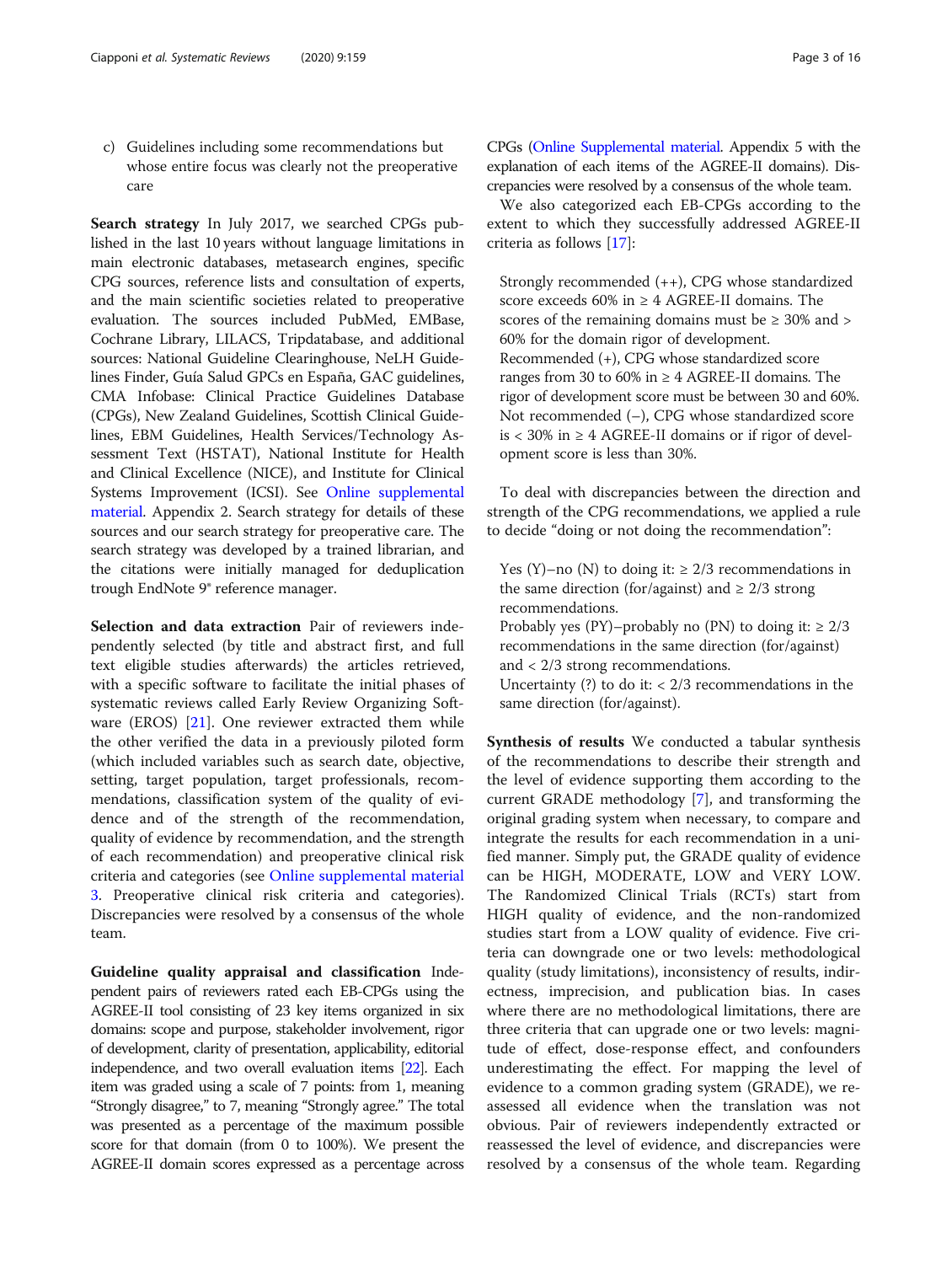c) Guidelines including some recommendations but whose entire focus was clearly not the preoperative care

Search strategy In July 2017, we searched CPGs published in the last 10 years without language limitations in main electronic databases, metasearch engines, specific CPG sources, reference lists and consultation of experts, and the main scientific societies related to preoperative evaluation. The sources included PubMed, EMBase, Cochrane Library, LILACS, Tripdatabase, and additional sources: National Guideline Clearinghouse, NeLH Guidelines Finder, Guía Salud GPCs en España, GAC guidelines, CMA Infobase: Clinical Practice Guidelines Database (CPGs), New Zealand Guidelines, Scottish Clinical Guidelines, EBM Guidelines, Health Services/Technology Assessment Text (HSTAT), National Institute for Health and Clinical Excellence (NICE), and Institute for Clinical Systems Improvement (ICSI). See [Online supplemental](#page-13-0) [material](#page-13-0). Appendix 2. Search strategy for details of these sources and our search strategy for preoperative care. The search strategy was developed by a trained librarian, and the citations were initially managed for deduplication trough EndNote 9® reference manager.

Selection and data extraction Pair of reviewers independently selected (by title and abstract first, and full text eligible studies afterwards) the articles retrieved, with a specific software to facilitate the initial phases of systematic reviews called Early Review Organizing Software (EROS) [\[21](#page-14-0)]. One reviewer extracted them while the other verified the data in a previously piloted form (which included variables such as search date, objective, setting, target population, target professionals, recommendations, classification system of the quality of evidence and of the strength of the recommendation, quality of evidence by recommendation, and the strength of each recommendation) and preoperative clinical risk criteria and categories (see [Online supplemental material](#page-13-0) [3.](#page-13-0) Preoperative clinical risk criteria and categories). Discrepancies were resolved by a consensus of the whole team.

Guideline quality appraisal and classification Independent pairs of reviewers rated each EB-CPGs using the AGREE-II tool consisting of 23 key items organized in six domains: scope and purpose, stakeholder involvement, rigor of development, clarity of presentation, applicability, editorial independence, and two overall evaluation items [\[22\]](#page-14-0). Each item was graded using a scale of 7 points: from 1, meaning "Strongly disagree," to 7, meaning "Strongly agree." The total was presented as a percentage of the maximum possible score for that domain (from 0 to 100%). We present the AGREE-II domain scores expressed as a percentage across CPGs [\(Online Supplemental material.](#page-13-0) Appendix 5 with the explanation of each items of the AGREE-II domains). Discrepancies were resolved by a consensus of the whole team.

We also categorized each EB-CPGs according to the extent to which they successfully addressed AGREE-II criteria as follows [[17](#page-14-0)]:

Strongly recommended (++), CPG whose standardized score exceeds 60% in  $\geq$  4 AGREE-II domains. The scores of the remaining domains must be  $\geq$  30% and  $>$ 60% for the domain rigor of development. Recommended (+), CPG whose standardized score ranges from 30 to 60% in  $\geq$  4 AGREE-II domains. The rigor of development score must be between 30 and 60%. Not recommended (–), CPG whose standardized score is < 30% in  $\geq$  4 AGREE-II domains or if rigor of development score is less than 30%.

To deal with discrepancies between the direction and strength of the CPG recommendations, we applied a rule to decide "doing or not doing the recommendation":

Yes (Y)–no (N) to doing it:  $\geq$  2/3 recommendations in the same direction (for/against) and  $\geq$  2/3 strong recommendations.

Probably yes (PY)–probably no (PN) to doing it:  $\geq 2/3$ recommendations in the same direction (for/against) and < 2/3 strong recommendations.

Uncertainty  $(?)$  to do it: < 2/3 recommendations in the same direction (for/against).

Synthesis of results We conducted a tabular synthesis of the recommendations to describe their strength and the level of evidence supporting them according to the current GRADE methodology [[7\]](#page-14-0), and transforming the original grading system when necessary, to compare and integrate the results for each recommendation in a unified manner. Simply put, the GRADE quality of evidence can be HIGH, MODERATE, LOW and VERY LOW. The Randomized Clinical Trials (RCTs) start from HIGH quality of evidence, and the non-randomized studies start from a LOW quality of evidence. Five criteria can downgrade one or two levels: methodological quality (study limitations), inconsistency of results, indirectness, imprecision, and publication bias. In cases where there are no methodological limitations, there are three criteria that can upgrade one or two levels: magnitude of effect, dose-response effect, and confounders underestimating the effect. For mapping the level of evidence to a common grading system (GRADE), we reassessed all evidence when the translation was not obvious. Pair of reviewers independently extracted or reassessed the level of evidence, and discrepancies were resolved by a consensus of the whole team. Regarding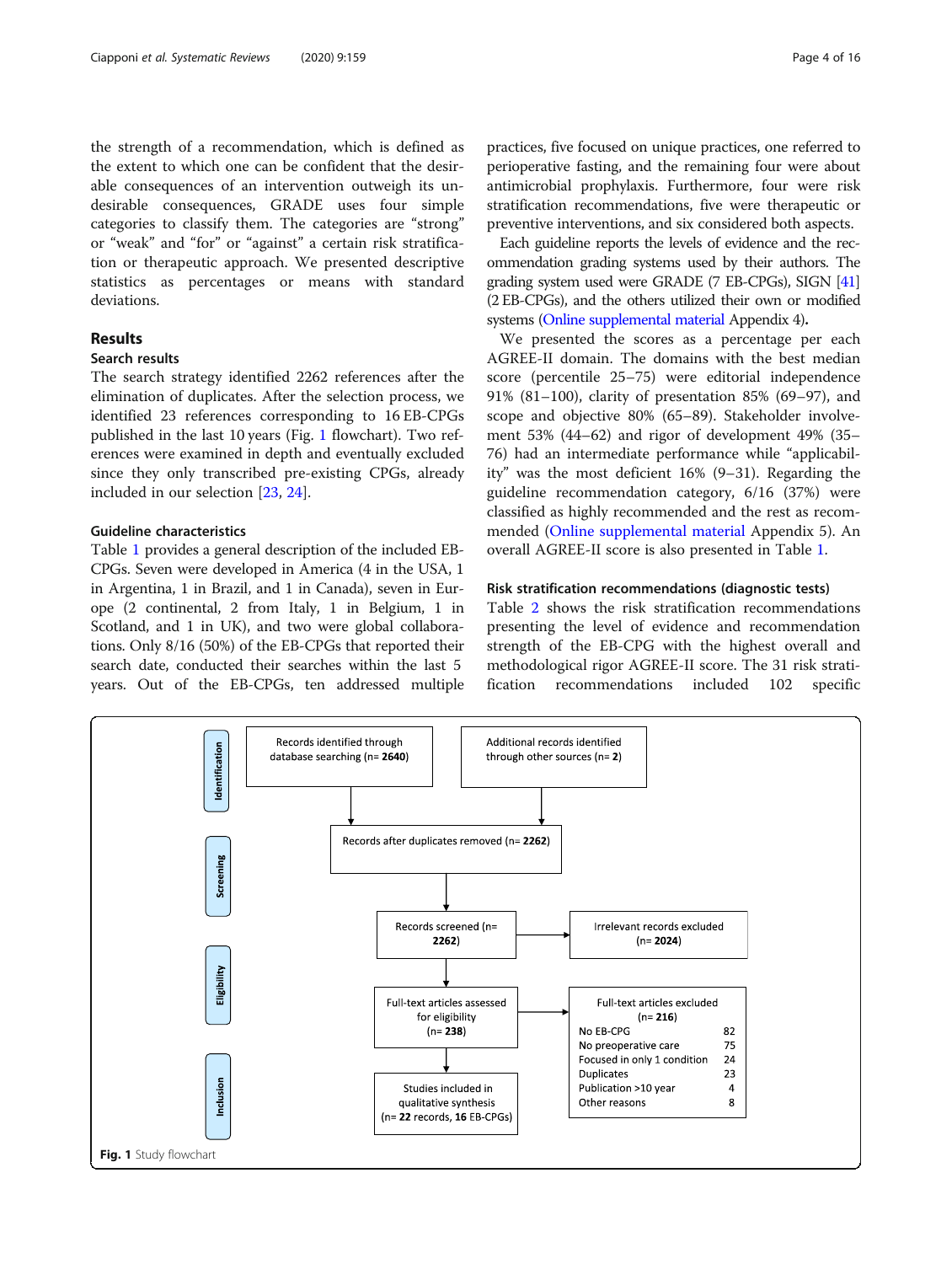the strength of a recommendation, which is defined as the extent to which one can be confident that the desirable consequences of an intervention outweigh its undesirable consequences, GRADE uses four simple categories to classify them. The categories are "strong" or "weak" and "for" or "against" a certain risk stratification or therapeutic approach. We presented descriptive statistics as percentages or means with standard deviations.

# Results

# Search results

The search strategy identified 2262 references after the elimination of duplicates. After the selection process, we identified 23 references corresponding to 16 EB-CPGs published in the last 10 years (Fig. 1 flowchart). Two references were examined in depth and eventually excluded since they only transcribed pre-existing CPGs, already included in our selection [[23](#page-14-0), [24](#page-14-0)].

# Guideline characteristics

Table [1](#page-4-0) provides a general description of the included EB-CPGs. Seven were developed in America (4 in the USA, 1 in Argentina, 1 in Brazil, and 1 in Canada), seven in Europe (2 continental, 2 from Italy, 1 in Belgium, 1 in Scotland, and 1 in UK), and two were global collaborations. Only 8/16 (50%) of the EB-CPGs that reported their search date, conducted their searches within the last 5 years. Out of the EB-CPGs, ten addressed multiple practices, five focused on unique practices, one referred to perioperative fasting, and the remaining four were about antimicrobial prophylaxis. Furthermore, four were risk stratification recommendations, five were therapeutic or preventive interventions, and six considered both aspects.

Each guideline reports the levels of evidence and the recommendation grading systems used by their authors. The grading system used were GRADE (7 EB-CPGs), SIGN [\[41](#page-15-0)] (2 EB-CPGs), and the others utilized their own or modified systems ([Online supplemental material](#page-13-0) Appendix 4).

We presented the scores as a percentage per each AGREE-II domain. The domains with the best median score (percentile 25–75) were editorial independence 91% (81–100), clarity of presentation 85% (69–97), and scope and objective 80% (65–89). Stakeholder involvement 53% (44–62) and rigor of development 49% (35– 76) had an intermediate performance while "applicability" was the most deficient 16% (9–31). Regarding the guideline recommendation category, 6/16 (37%) were classified as highly recommended and the rest as recommended ([Online supplemental material](#page-13-0) Appendix 5). An overall AGREE-II score is also presented in Table [1](#page-4-0).

#### Risk stratification recommendations (diagnostic tests)

Table [2](#page-5-0) shows the risk stratification recommendations presenting the level of evidence and recommendation strength of the EB-CPG with the highest overall and methodological rigor AGREE-II score. The 31 risk stratification recommendations included 102 specific

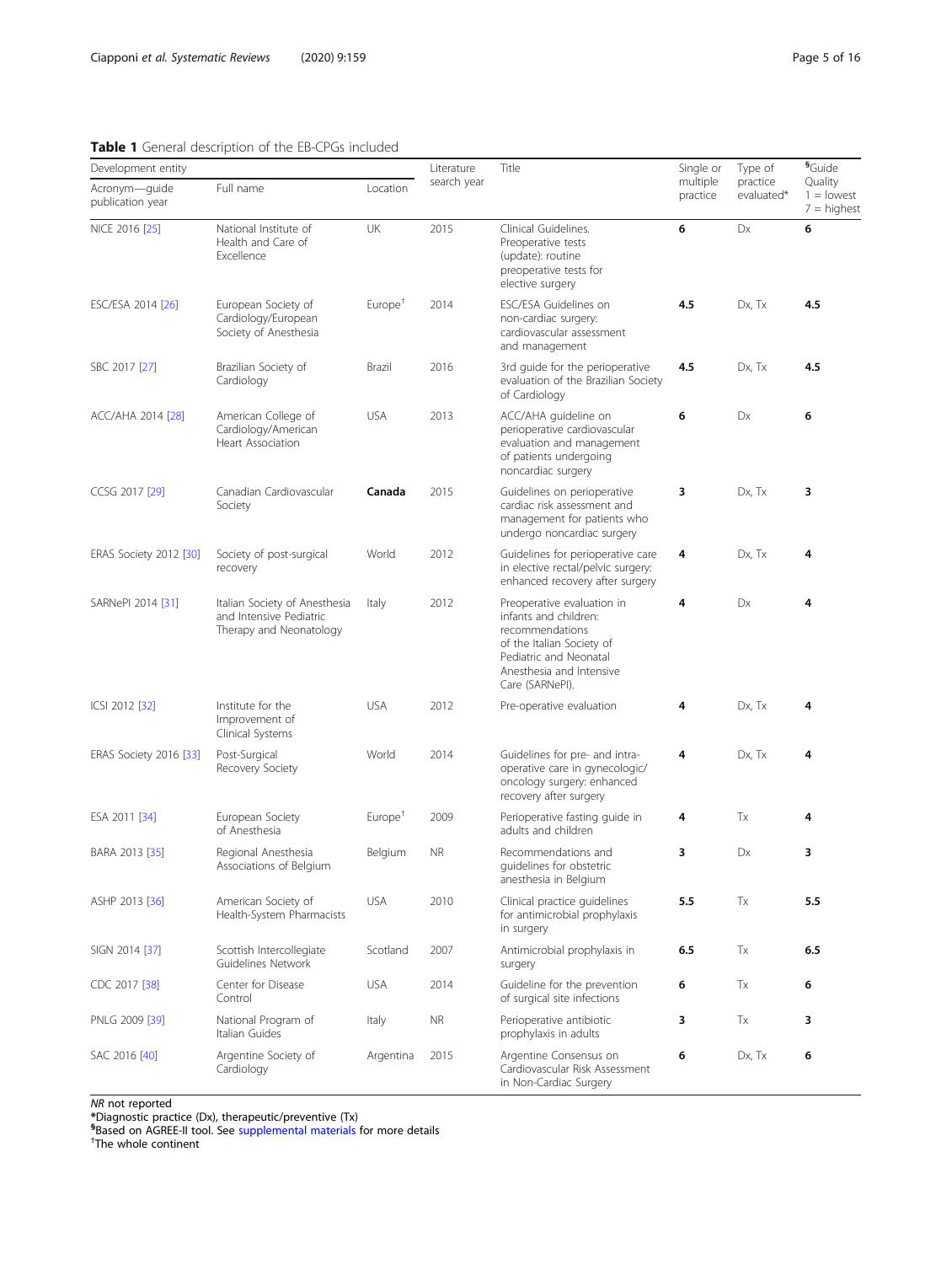# <span id="page-4-0"></span>Table 1 General description of the EB-CPGs included

| Development entity                |                                                                                     | Literature          | Title       | Single or                                                                                                                                                                    | Type of              | <sup>§</sup> Guide     |                                          |
|-----------------------------------|-------------------------------------------------------------------------------------|---------------------|-------------|------------------------------------------------------------------------------------------------------------------------------------------------------------------------------|----------------------|------------------------|------------------------------------------|
| Acronym-guide<br>publication year | Full name                                                                           | Location            | search year |                                                                                                                                                                              | multiple<br>practice | practice<br>evaluated* | Quality<br>$1 =$ lowest<br>$7 =$ highest |
| NICE 2016 [25]                    | National Institute of<br>Health and Care of<br>Excellence                           | UK                  | 2015        | Clinical Guidelines.<br>Preoperative tests<br>(update): routine<br>preoperative tests for<br>elective surgery                                                                | 6                    | Dx                     | 6                                        |
| ESC/ESA 2014 [26]                 | European Society of<br>Cardiology/European<br>Society of Anesthesia                 | Europe <sup>†</sup> | 2014        | ESC/ESA Guidelines on<br>non-cardiac surgery:<br>cardiovascular assessment<br>and management                                                                                 | 4.5                  | Dx, Tx                 | 4.5                                      |
| SBC 2017 [27]                     | Brazilian Society of<br>Cardiology                                                  | Brazil              | 2016        | 3rd guide for the perioperative<br>evaluation of the Brazilian Society<br>of Cardiology                                                                                      | 4.5                  | Dx, Tx                 | 4.5                                      |
| ACC/AHA 2014 [28]                 | American College of<br>Cardiology/American<br>Heart Association                     | <b>USA</b>          | 2013        | ACC/AHA guideline on<br>perioperative cardiovascular<br>evaluation and management<br>of patients undergoing<br>noncardiac surgery                                            | 6                    | Dx                     | 6                                        |
| CCSG 2017 [29]                    | Canadian Cardiovascular<br>Society                                                  | Canada              | 2015        | Guidelines on perioperative<br>cardiac risk assessment and<br>management for patients who<br>undergo noncardiac surgery                                                      | 3                    | Dx, Tx                 | 3                                        |
| ERAS Society 2012 [30]            | Society of post-surgical<br>recovery                                                | World               | 2012        | Guidelines for perioperative care<br>in elective rectal/pelvic surgery:<br>enhanced recovery after surgery                                                                   | 4                    | Dx, Tx                 | 4                                        |
| SARNePI 2014 [31]                 | Italian Society of Anesthesia<br>and Intensive Pediatric<br>Therapy and Neonatology | Italy               | 2012        | Preoperative evaluation in<br>infants and children:<br>recommendations<br>of the Italian Society of<br>Pediatric and Neonatal<br>Anesthesia and Intensive<br>Care (SARNePI). | 4                    | Dx                     | 4                                        |
| ICSI 2012 [32]                    | Institute for the<br>Improvement of<br>Clinical Systems                             | <b>USA</b>          | 2012        | Pre-operative evaluation                                                                                                                                                     | 4                    | Dx, Tx                 | 4                                        |
| ERAS Society 2016 [33]            | Post-Surgical<br>Recovery Society                                                   | World               | 2014        | Guidelines for pre- and intra-<br>operative care in gynecologic/<br>oncology surgery: enhanced<br>recovery after surgery                                                     | 4                    | Dx, Tx                 | 4                                        |
| ESA 2011 [34]                     | European Society<br>of Anesthesia                                                   | Europe <sup>†</sup> | 2009        | Perioperative fasting guide in<br>adults and children                                                                                                                        | 4                    | Tx                     | 4                                        |
| BARA 2013 [35]                    | Regional Anesthesia<br>Associations of Belgium                                      | Belgium             | <b>NR</b>   | Recommendations and<br>quidelines for obstetric<br>anesthesia in Belgium                                                                                                     | 3                    | Dx                     | 3                                        |
| ASHP 2013 [36]                    | American Society of<br>Health-System Pharmacists                                    | <b>USA</b>          | 2010        | Clinical practice quidelines<br>for antimicrobial prophylaxis<br>in surgery                                                                                                  | 5.5                  | Тx                     | 5.5                                      |
| SIGN 2014 [37]                    | Scottish Intercollegiate<br>Guidelines Network                                      | Scotland            | 2007        | Antimicrobial prophylaxis in<br>surgery                                                                                                                                      | 6.5                  | Tx                     | 6.5                                      |
| CDC 2017 [38]                     | Center for Disease<br>Control                                                       | <b>USA</b>          | 2014        | Guideline for the prevention<br>of surgical site infections                                                                                                                  | 6                    | Tx                     | 6                                        |
| PNLG 2009 [39]                    | National Program of<br>Italian Guides                                               | Italy               | <b>NR</b>   | Perioperative antibiotic<br>prophylaxis in adults                                                                                                                            | 3                    | Tx                     | 3                                        |
| SAC 2016 [40]                     | Argentine Society of<br>Cardiology                                                  | Argentina           | 2015        | Argentine Consensus on<br>Cardiovascular Risk Assessment<br>in Non-Cardiac Surgery                                                                                           | 6                    | Dx, Tx                 | 6                                        |

**NR** not reported

\*Diagnostic practice (Dx), therapeutic/preventive (Tx)<br><sup>§</sup>Based on AGREE-II tool. See [supplemental materials](#page-13-0) for more details<br><sup>†</sup>The whole continent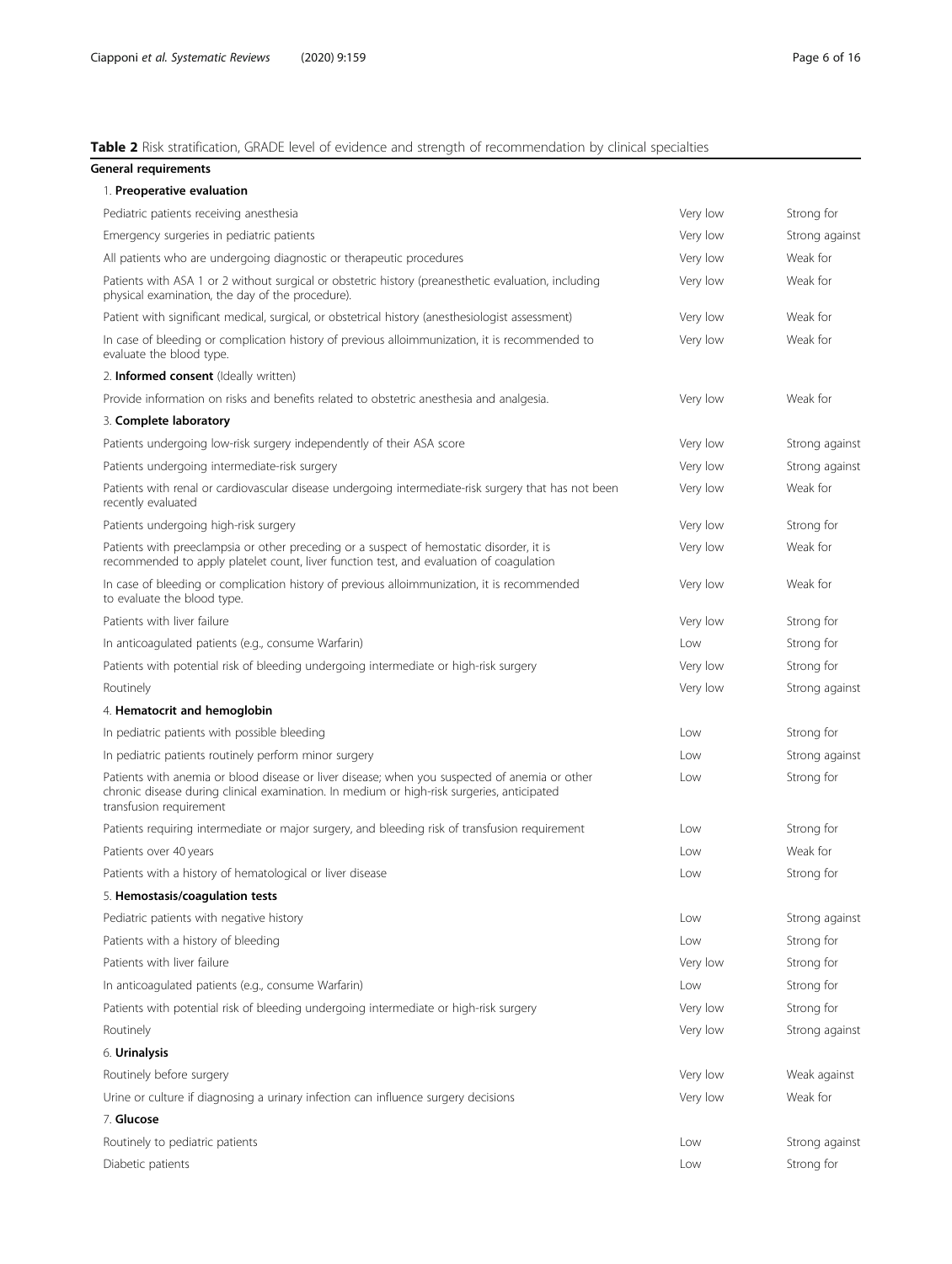#### <span id="page-5-0"></span>Table 2 Risk stratification, GRADE level of evidence and strength of recommendation by clinical specialties

| General requirements                                                                                                                                                                                                   |          |                |
|------------------------------------------------------------------------------------------------------------------------------------------------------------------------------------------------------------------------|----------|----------------|
| 1. Preoperative evaluation                                                                                                                                                                                             |          |                |
| Pediatric patients receiving anesthesia                                                                                                                                                                                | Very low | Strong for     |
| Emergency surgeries in pediatric patients                                                                                                                                                                              | Very low | Strong against |
| All patients who are undergoing diagnostic or therapeutic procedures                                                                                                                                                   | Very low | Weak for       |
| Patients with ASA 1 or 2 without surgical or obstetric history (preanesthetic evaluation, including<br>physical examination, the day of the procedure).                                                                | Very low | Weak for       |
| Patient with significant medical, surgical, or obstetrical history (anesthesiologist assessment)                                                                                                                       | Very low | Weak for       |
| In case of bleeding or complication history of previous alloimmunization, it is recommended to<br>evaluate the blood type.                                                                                             | Very low | Weak for       |
| 2. <b>Informed consent</b> (Ideally written)                                                                                                                                                                           |          |                |
| Provide information on risks and benefits related to obstetric anesthesia and analgesia.                                                                                                                               | Very low | Weak for       |
| 3. Complete laboratory                                                                                                                                                                                                 |          |                |
| Patients undergoing low-risk surgery independently of their ASA score                                                                                                                                                  | Very low | Strong against |
| Patients undergoing intermediate-risk surgery                                                                                                                                                                          | Very low | Strong against |
| Patients with renal or cardiovascular disease undergoing intermediate-risk surgery that has not been<br>recently evaluated                                                                                             | Very low | Weak for       |
| Patients undergoing high-risk surgery                                                                                                                                                                                  | Very low | Strong for     |
| Patients with preeclampsia or other preceding or a suspect of hemostatic disorder, it is<br>recommended to apply platelet count, liver function test, and evaluation of coagulation                                    | Very low | Weak for       |
| In case of bleeding or complication history of previous alloimmunization, it is recommended<br>to evaluate the blood type.                                                                                             | Very low | Weak for       |
| Patients with liver failure                                                                                                                                                                                            | Very low | Strong for     |
| In anticoagulated patients (e.g., consume Warfarin)                                                                                                                                                                    | Low      | Strong for     |
| Patients with potential risk of bleeding undergoing intermediate or high-risk surgery                                                                                                                                  | Very low | Strong for     |
| Routinely                                                                                                                                                                                                              | Very low | Strong against |
| 4. Hematocrit and hemoglobin                                                                                                                                                                                           |          |                |
| In pediatric patients with possible bleeding                                                                                                                                                                           | Low      | Strong for     |
| In pediatric patients routinely perform minor surgery                                                                                                                                                                  | Low      | Strong against |
| Patients with anemia or blood disease or liver disease; when you suspected of anemia or other<br>chronic disease during clinical examination. In medium or high-risk surgeries, anticipated<br>transfusion requirement | Low      | Strong for     |
| Patients requiring intermediate or major surgery, and bleeding risk of transfusion requirement                                                                                                                         | Low      | Strong for     |
| Patients over 40 years                                                                                                                                                                                                 | Low      | Weak for       |
| Patients with a history of hematological or liver disease                                                                                                                                                              | Low      | Strong for     |
| 5. Hemostasis/coagulation tests                                                                                                                                                                                        |          |                |
| Pediatric patients with negative history                                                                                                                                                                               | Low      | Strong against |
| Patients with a history of bleeding                                                                                                                                                                                    | Low      | Strong for     |
| Patients with liver failure                                                                                                                                                                                            | Very low | Strong for     |
| In anticoagulated patients (e.g., consume Warfarin)                                                                                                                                                                    | Low      | Strong for     |
| Patients with potential risk of bleeding undergoing intermediate or high-risk surgery                                                                                                                                  | Very low | Strong for     |
| Routinely                                                                                                                                                                                                              | Very low | Strong against |
| 6. Urinalysis                                                                                                                                                                                                          |          |                |
| Routinely before surgery                                                                                                                                                                                               | Very low | Weak against   |
| Urine or culture if diagnosing a urinary infection can influence surgery decisions                                                                                                                                     | Very low | Weak for       |
| 7. Glucose                                                                                                                                                                                                             |          |                |
| Routinely to pediatric patients                                                                                                                                                                                        | Low      | Strong against |
| Diabetic patients                                                                                                                                                                                                      | Low      | Strong for     |
|                                                                                                                                                                                                                        |          |                |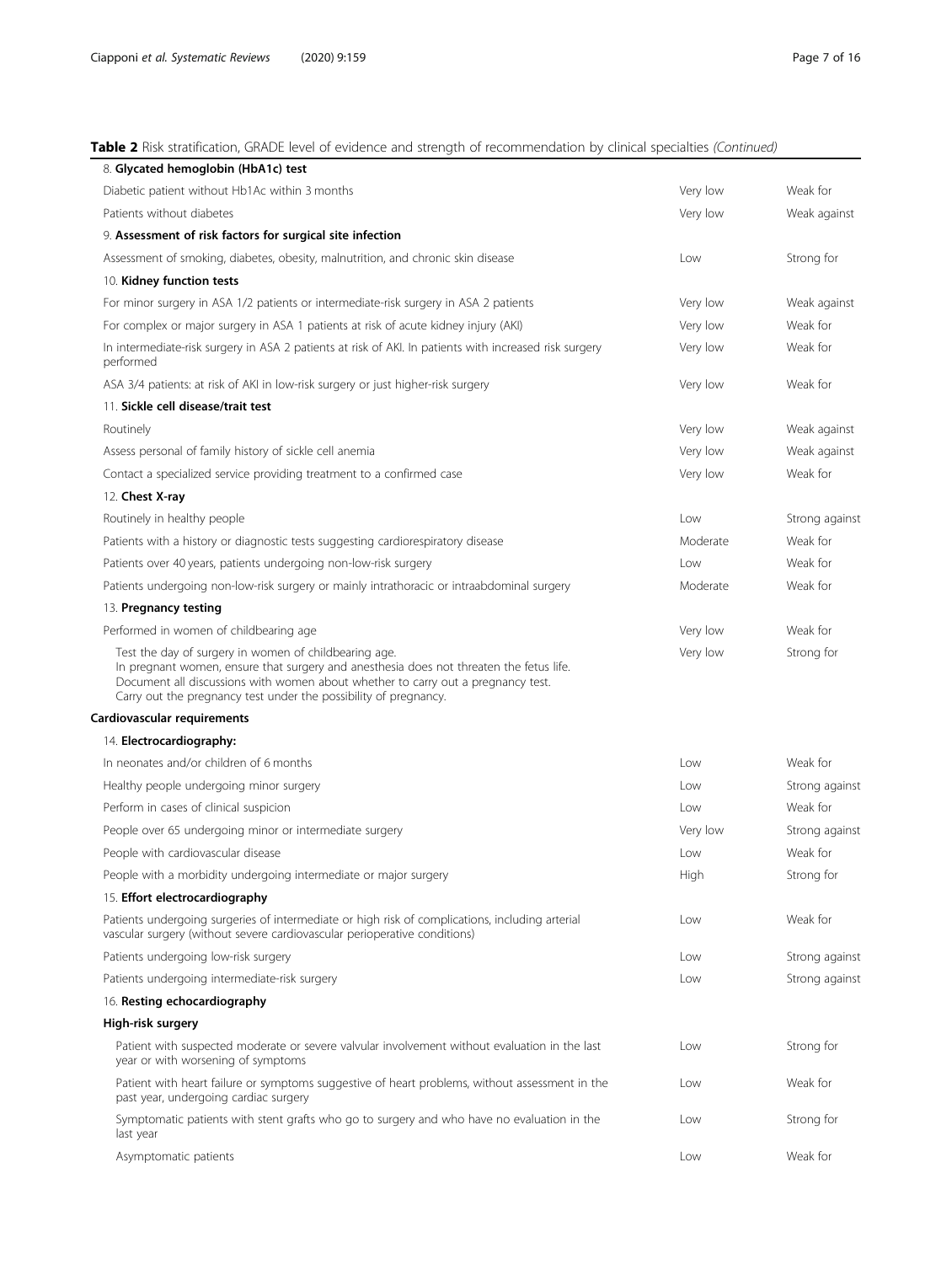# Table 2 Risk stratification, GRADE level of evidence and strength of recommendation by clinical specialties (Continued)

| 8. Glycated hemoglobin (HbA1c) test                                                                                                                                                                                                                                                                      |          |                |
|----------------------------------------------------------------------------------------------------------------------------------------------------------------------------------------------------------------------------------------------------------------------------------------------------------|----------|----------------|
| Diabetic patient without Hb1Ac within 3 months                                                                                                                                                                                                                                                           | Very low | Weak for       |
| Patients without diabetes                                                                                                                                                                                                                                                                                | Very low | Weak against   |
| 9. Assessment of risk factors for surgical site infection                                                                                                                                                                                                                                                |          |                |
| Assessment of smoking, diabetes, obesity, malnutrition, and chronic skin disease                                                                                                                                                                                                                         | Low      | Strong for     |
| 10. Kidney function tests                                                                                                                                                                                                                                                                                |          |                |
| For minor surgery in ASA 1/2 patients or intermediate-risk surgery in ASA 2 patients                                                                                                                                                                                                                     | Very low | Weak against   |
| For complex or major surgery in ASA 1 patients at risk of acute kidney injury (AKI)                                                                                                                                                                                                                      | Very low | Weak for       |
| In intermediate-risk surgery in ASA 2 patients at risk of AKI. In patients with increased risk surgery<br>performed                                                                                                                                                                                      | Very low | Weak for       |
| ASA 3/4 patients: at risk of AKI in low-risk surgery or just higher-risk surgery                                                                                                                                                                                                                         | Very low | Weak for       |
| 11. Sickle cell disease/trait test                                                                                                                                                                                                                                                                       |          |                |
| Routinely                                                                                                                                                                                                                                                                                                | Very low | Weak against   |
| Assess personal of family history of sickle cell anemia                                                                                                                                                                                                                                                  | Very low | Weak against   |
| Contact a specialized service providing treatment to a confirmed case                                                                                                                                                                                                                                    | Very low | Weak for       |
| 12. Chest X-ray                                                                                                                                                                                                                                                                                          |          |                |
| Routinely in healthy people                                                                                                                                                                                                                                                                              | Low      | Strong against |
| Patients with a history or diagnostic tests suggesting cardiorespiratory disease                                                                                                                                                                                                                         | Moderate | Weak for       |
| Patients over 40 years, patients undergoing non-low-risk surgery                                                                                                                                                                                                                                         | Low      | Weak for       |
| Patients undergoing non-low-risk surgery or mainly intrathoracic or intraabdominal surgery                                                                                                                                                                                                               | Moderate | Weak for       |
| 13. Pregnancy testing                                                                                                                                                                                                                                                                                    |          |                |
| Performed in women of childbearing age                                                                                                                                                                                                                                                                   | Very low | Weak for       |
| Test the day of surgery in women of childbearing age.<br>In pregnant women, ensure that surgery and anesthesia does not threaten the fetus life.<br>Document all discussions with women about whether to carry out a pregnancy test.<br>Carry out the pregnancy test under the possibility of pregnancy. | Very low | Strong for     |
| Cardiovascular requirements                                                                                                                                                                                                                                                                              |          |                |
| 14. Electrocardiography:                                                                                                                                                                                                                                                                                 |          |                |
| In neonates and/or children of 6 months                                                                                                                                                                                                                                                                  | Low      | Weak for       |
| Healthy people undergoing minor surgery                                                                                                                                                                                                                                                                  | Low      | Strong against |
| Perform in cases of clinical suspicion                                                                                                                                                                                                                                                                   | Low      | Weak for       |
| People over 65 undergoing minor or intermediate surgery                                                                                                                                                                                                                                                  | Very low | Strong against |
| People with cardiovascular disease                                                                                                                                                                                                                                                                       | Low      | Weak for       |
| People with a morbidity undergoing intermediate or major surgery                                                                                                                                                                                                                                         | High     | Strong for     |
| 15. Effort electrocardiography                                                                                                                                                                                                                                                                           |          |                |
| Patients undergoing surgeries of intermediate or high risk of complications, including arterial<br>vascular surgery (without severe cardiovascular perioperative conditions)                                                                                                                             | Low      | Weak for       |
| Patients undergoing low-risk surgery                                                                                                                                                                                                                                                                     | Low      | Strong against |
| Patients undergoing intermediate-risk surgery                                                                                                                                                                                                                                                            | Low      | Strong against |
| 16. Resting echocardiography                                                                                                                                                                                                                                                                             |          |                |
| High-risk surgery                                                                                                                                                                                                                                                                                        |          |                |
| Patient with suspected moderate or severe valvular involvement without evaluation in the last<br>year or with worsening of symptoms                                                                                                                                                                      | Low      | Strong for     |
| Patient with heart failure or symptoms suggestive of heart problems, without assessment in the<br>past year, undergoing cardiac surgery                                                                                                                                                                  | Low      | Weak for       |
| Symptomatic patients with stent grafts who go to surgery and who have no evaluation in the<br>last year                                                                                                                                                                                                  | Low      | Strong for     |
| Asymptomatic patients                                                                                                                                                                                                                                                                                    | Low      | Weak for       |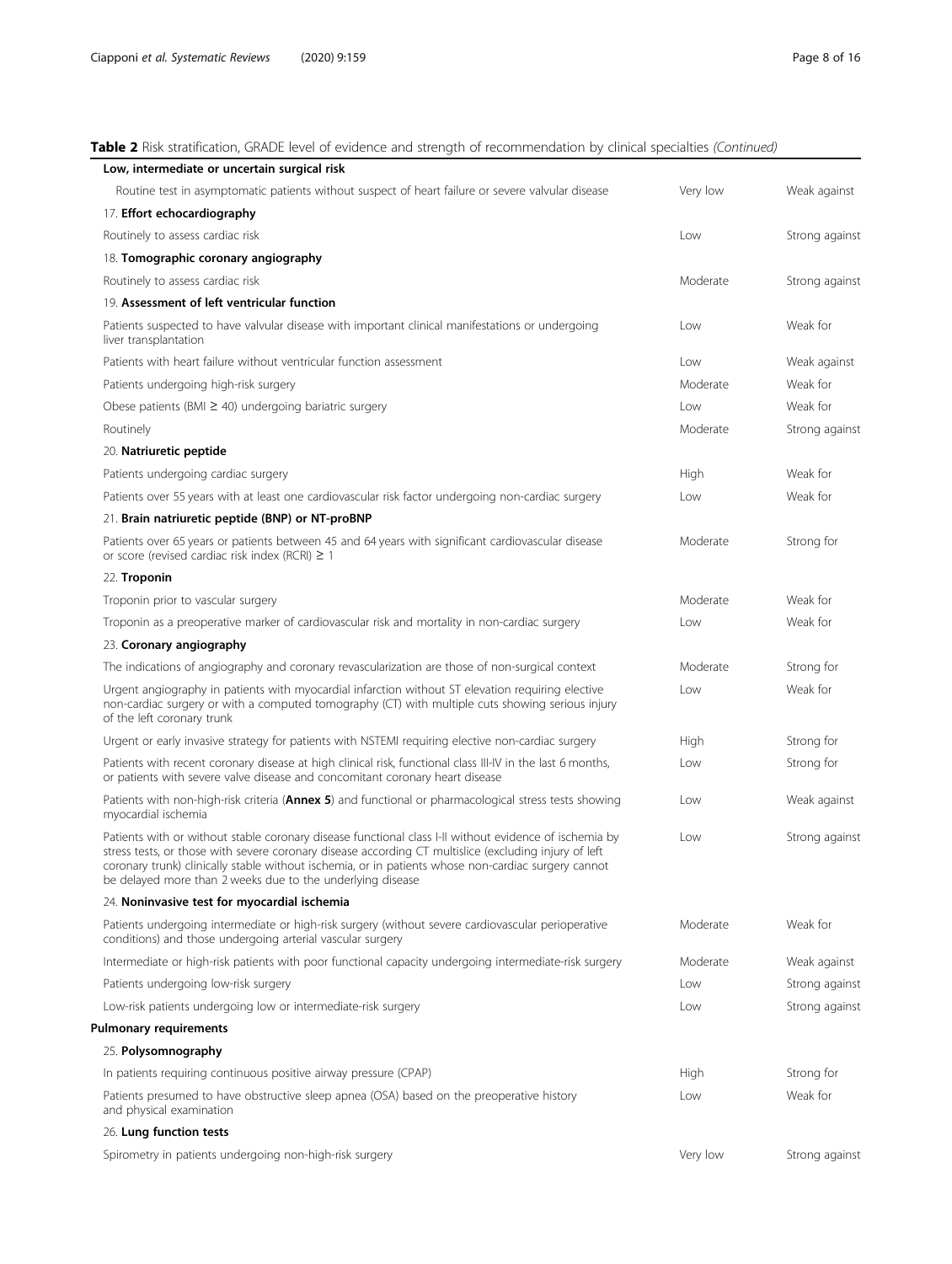# Table 2 Risk stratification, GRADE level of evidence and strength of recommendation by clinical specialties (Continued)

| Low, intermediate or uncertain surgical risk                                                                                                                                                                                                                                                                                                                                         |          |                |
|--------------------------------------------------------------------------------------------------------------------------------------------------------------------------------------------------------------------------------------------------------------------------------------------------------------------------------------------------------------------------------------|----------|----------------|
| Routine test in asymptomatic patients without suspect of heart failure or severe valvular disease                                                                                                                                                                                                                                                                                    | Very low | Weak against   |
| 17. Effort echocardiography                                                                                                                                                                                                                                                                                                                                                          |          |                |
| Routinely to assess cardiac risk                                                                                                                                                                                                                                                                                                                                                     | Low      | Strong against |
| 18. Tomographic coronary angiography                                                                                                                                                                                                                                                                                                                                                 |          |                |
| Routinely to assess cardiac risk                                                                                                                                                                                                                                                                                                                                                     | Moderate | Strong against |
| 19. Assessment of left ventricular function                                                                                                                                                                                                                                                                                                                                          |          |                |
| Patients suspected to have valvular disease with important clinical manifestations or undergoing<br>liver transplantation                                                                                                                                                                                                                                                            | Low      | Weak for       |
| Patients with heart failure without ventricular function assessment                                                                                                                                                                                                                                                                                                                  | Low      | Weak against   |
| Patients undergoing high-risk surgery                                                                                                                                                                                                                                                                                                                                                | Moderate | Weak for       |
| Obese patients (BMI $\geq$ 40) undergoing bariatric surgery                                                                                                                                                                                                                                                                                                                          | Low      | Weak for       |
| Routinely                                                                                                                                                                                                                                                                                                                                                                            | Moderate | Strong against |
| 20. Natriuretic peptide                                                                                                                                                                                                                                                                                                                                                              |          |                |
| Patients undergoing cardiac surgery                                                                                                                                                                                                                                                                                                                                                  | High     | Weak for       |
| Patients over 55 years with at least one cardiovascular risk factor undergoing non-cardiac surgery                                                                                                                                                                                                                                                                                   | Low      | Weak for       |
| 21. Brain natriuretic peptide (BNP) or NT-proBNP                                                                                                                                                                                                                                                                                                                                     |          |                |
| Patients over 65 years or patients between 45 and 64 years with significant cardiovascular disease<br>or score (revised cardiac risk index (RCRI) $\geq 1$                                                                                                                                                                                                                           | Moderate | Strong for     |
| 22. Troponin                                                                                                                                                                                                                                                                                                                                                                         |          |                |
| Troponin prior to vascular surgery                                                                                                                                                                                                                                                                                                                                                   | Moderate | Weak for       |
| Troponin as a preoperative marker of cardiovascular risk and mortality in non-cardiac surgery                                                                                                                                                                                                                                                                                        | Low      | Weak for       |
| 23. Coronary angiography                                                                                                                                                                                                                                                                                                                                                             |          |                |
| The indications of angiography and coronary revascularization are those of non-surgical context                                                                                                                                                                                                                                                                                      | Moderate | Strong for     |
| Urgent angiography in patients with myocardial infarction without ST elevation reguiring elective<br>non-cardiac surgery or with a computed tomography (CT) with multiple cuts showing serious injury<br>of the left coronary trunk                                                                                                                                                  | Low      | Weak for       |
| Urgent or early invasive strategy for patients with NSTEMI requiring elective non-cardiac surgery                                                                                                                                                                                                                                                                                    | High     | Strong for     |
| Patients with recent coronary disease at high clinical risk, functional class III-IV in the last 6 months,<br>or patients with severe valve disease and concomitant coronary heart disease                                                                                                                                                                                           | Low      | Strong for     |
| Patients with non-high-risk criteria (Annex 5) and functional or pharmacological stress tests showing<br>myocardial ischemia                                                                                                                                                                                                                                                         | Low      | Weak against   |
| Patients with or without stable coronary disease functional class I-II without evidence of ischemia by<br>stress tests, or those with severe coronary disease according CT multislice (excluding injury of left<br>coronary trunk) clinically stable without ischemia, or in patients whose non-cardiac surgery cannot<br>be delayed more than 2 weeks due to the underlying disease | Low      | Strong against |
| 24. Noninvasive test for myocardial ischemia                                                                                                                                                                                                                                                                                                                                         |          |                |
| Patients undergoing intermediate or high-risk surgery (without severe cardiovascular perioperative<br>conditions) and those undergoing arterial vascular surgery                                                                                                                                                                                                                     | Moderate | Weak for       |
| Intermediate or high-risk patients with poor functional capacity undergoing intermediate-risk surgery                                                                                                                                                                                                                                                                                | Moderate | Weak against   |
| Patients undergoing low-risk surgery                                                                                                                                                                                                                                                                                                                                                 | Low      | Strong against |
| Low-risk patients undergoing low or intermediate-risk surgery                                                                                                                                                                                                                                                                                                                        | Low      | Strong against |
| <b>Pulmonary requirements</b>                                                                                                                                                                                                                                                                                                                                                        |          |                |
| 25. Polysomnography                                                                                                                                                                                                                                                                                                                                                                  |          |                |
| In patients requiring continuous positive airway pressure (CPAP)                                                                                                                                                                                                                                                                                                                     | High     | Strong for     |
| Patients presumed to have obstructive sleep apnea (OSA) based on the preoperative history<br>and physical examination                                                                                                                                                                                                                                                                | Low      | Weak for       |
| 26. Lung function tests                                                                                                                                                                                                                                                                                                                                                              |          |                |
| Spirometry in patients undergoing non-high-risk surgery                                                                                                                                                                                                                                                                                                                              | Very low | Strong against |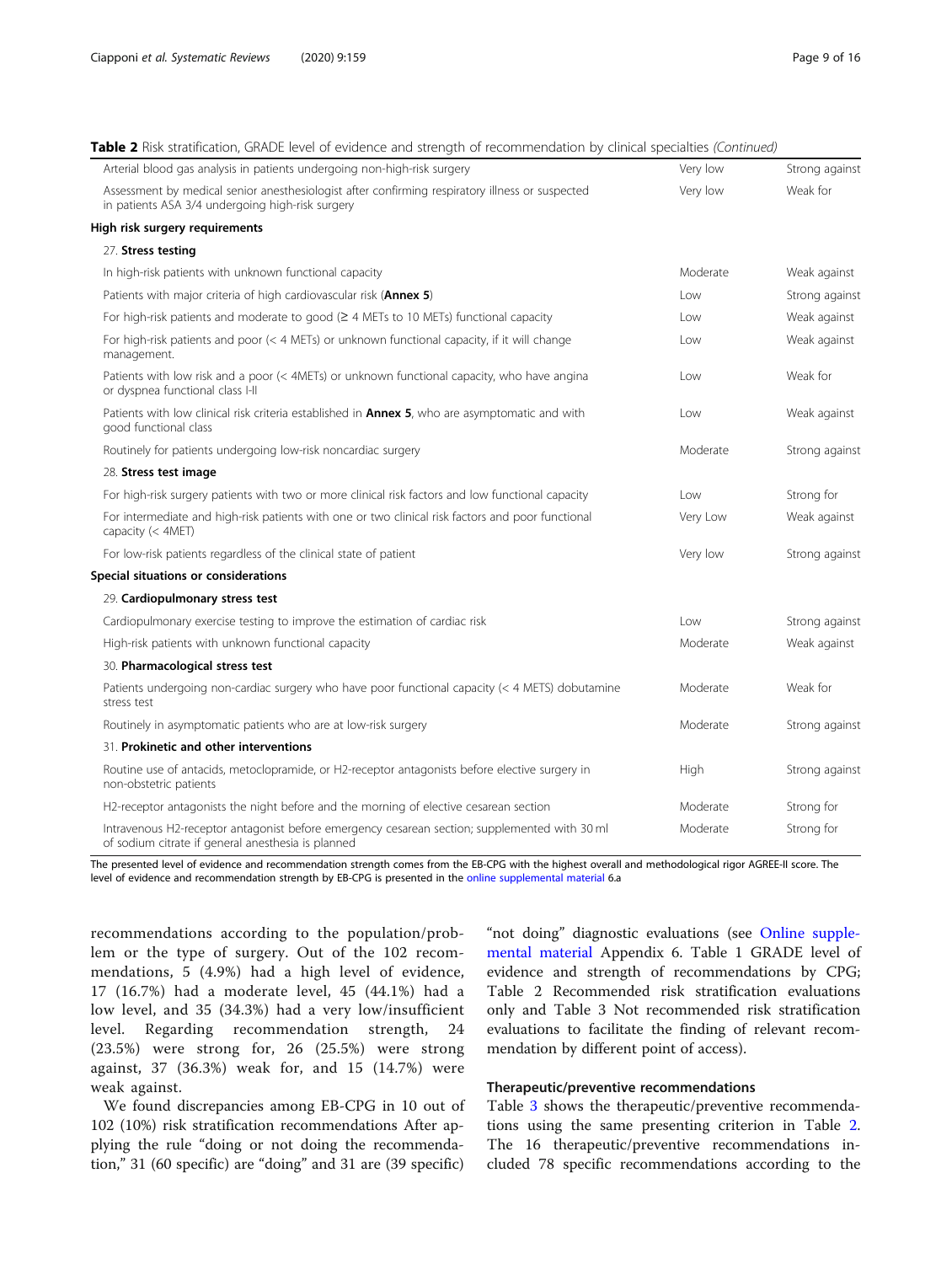#### Table 2 Risk stratification, GRADE level of evidence and strength of recommendation by clinical specialties (Continued)

| able z msk stratification, Gm/DL lever or evidence and strength or recommendation by elimical specialities (Commacu)<br>Arterial blood gas analysis in patients undergoing non-high-risk surgery | Very low | Strong against |
|--------------------------------------------------------------------------------------------------------------------------------------------------------------------------------------------------|----------|----------------|
| Assessment by medical senior anesthesiologist after confirming respiratory illness or suspected                                                                                                  | Very low | Weak for       |
| in patients ASA 3/4 undergoing high-risk surgery                                                                                                                                                 |          |                |
| High risk surgery requirements                                                                                                                                                                   |          |                |
| 27. Stress testing                                                                                                                                                                               |          |                |
| In high-risk patients with unknown functional capacity                                                                                                                                           | Moderate | Weak against   |
| Patients with major criteria of high cardiovascular risk (Annex 5)                                                                                                                               | Low      | Strong against |
| For high-risk patients and moderate to good ( $\geq$ 4 METs to 10 METs) functional capacity                                                                                                      | Low      | Weak against   |
| For high-risk patients and poor (< 4 METs) or unknown functional capacity, if it will change<br>management.                                                                                      | l ow     | Weak against   |
| Patients with low risk and a poor (< 4METs) or unknown functional capacity, who have angina<br>or dyspnea functional class I-II                                                                  | Low      | Weak for       |
| Patients with low clinical risk criteria established in <b>Annex 5</b> , who are asymptomatic and with<br>good functional class                                                                  | Low      | Weak against   |
| Routinely for patients undergoing low-risk noncardiac surgery                                                                                                                                    | Moderate | Strong against |
| 28. Stress test image                                                                                                                                                                            |          |                |
| For high-risk surgery patients with two or more clinical risk factors and low functional capacity                                                                                                | Low      | Strong for     |
| For intermediate and high-risk patients with one or two clinical risk factors and poor functional<br>capacity (< 4MET)                                                                           | Very Low | Weak against   |
| For low-risk patients regardless of the clinical state of patient                                                                                                                                | Very low | Strong against |
| Special situations or considerations                                                                                                                                                             |          |                |
| 29. Cardiopulmonary stress test                                                                                                                                                                  |          |                |
| Cardiopulmonary exercise testing to improve the estimation of cardiac risk                                                                                                                       | l ow     | Strong against |
| High-risk patients with unknown functional capacity                                                                                                                                              | Moderate | Weak against   |
| 30. Pharmacological stress test                                                                                                                                                                  |          |                |
| Patients undergoing non-cardiac surgery who have poor functional capacity (< 4 METS) dobutamine<br>stress test                                                                                   | Moderate | Weak for       |
| Routinely in asymptomatic patients who are at low-risk surgery                                                                                                                                   | Moderate | Strong against |
| 31. Prokinetic and other interventions                                                                                                                                                           |          |                |
| Routine use of antacids, metoclopramide, or H2-receptor antagonists before elective surgery in<br>non-obstetric patients                                                                         | High     | Strong against |
| H2-receptor antagonists the night before and the morning of elective cesarean section                                                                                                            | Moderate | Strong for     |
| Intravenous H2-receptor antagonist before emergency cesarean section; supplemented with 30 ml<br>of sodium citrate if general anesthesia is planned                                              | Moderate | Strong for     |

The presented level of evidence and recommendation strength comes from the EB-CPG with the highest overall and methodological rigor AGREE-II score. The level of evidence and recommendation strength by EB-CPG is presented in the [online supplemental material](#page-13-0) 6.a

recommendations according to the population/problem or the type of surgery. Out of the 102 recommendations, 5 (4.9%) had a high level of evidence, 17 (16.7%) had a moderate level, 45 (44.1%) had a low level, and 35 (34.3%) had a very low/insufficient level. Regarding recommendation strength, 24 (23.5%) were strong for, 26 (25.5%) were strong against, 37 (36.3%) weak for, and 15 (14.7%) were weak against.

We found discrepancies among EB-CPG in 10 out of 102 (10%) risk stratification recommendations After applying the rule "doing or not doing the recommendation," 31 (60 specific) are "doing" and 31 are (39 specific)

"not doing" diagnostic evaluations (see [Online supple](#page-13-0)[mental material](#page-13-0) Appendix 6. Table 1 GRADE level of evidence and strength of recommendations by CPG; Table 2 Recommended risk stratification evaluations only and Table 3 Not recommended risk stratification evaluations to facilitate the finding of relevant recommendation by different point of access).

# Therapeutic/preventive recommendations

Table [3](#page-9-0) shows the therapeutic/preventive recommendations using the same presenting criterion in Table [2](#page-5-0). The 16 therapeutic/preventive recommendations included 78 specific recommendations according to the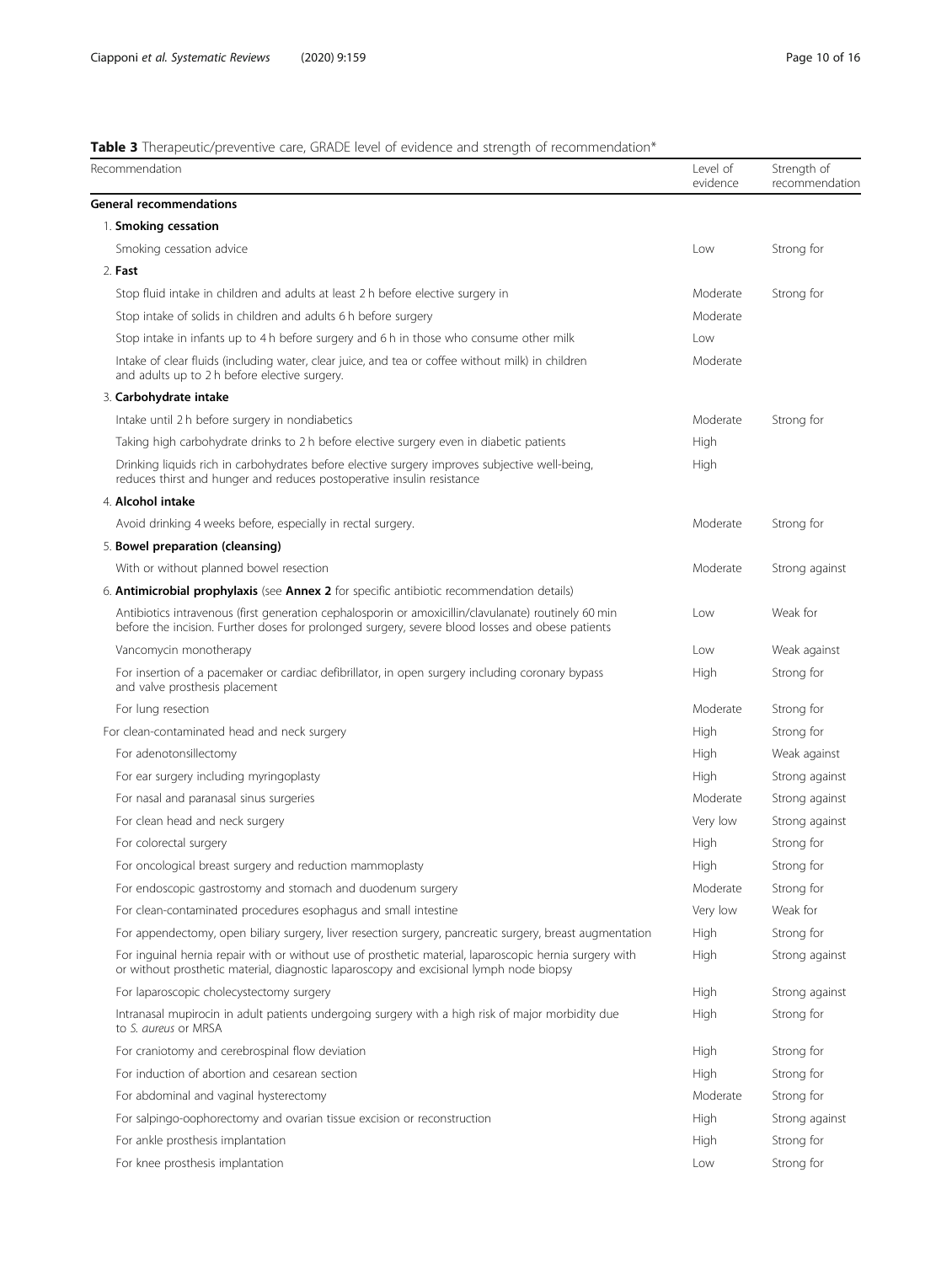# <span id="page-9-0"></span>Table 3 Therapeutic/preventive care, GRADE level of evidence and strength of recommendation\*

| Recommendation                                                                                                                                                                                           | Level of<br>evidence | Strength of<br>recommendation |
|----------------------------------------------------------------------------------------------------------------------------------------------------------------------------------------------------------|----------------------|-------------------------------|
| General recommendations                                                                                                                                                                                  |                      |                               |
| 1. Smoking cessation                                                                                                                                                                                     |                      |                               |
| Smoking cessation advice                                                                                                                                                                                 | Low                  | Strong for                    |
| 2. Fast                                                                                                                                                                                                  |                      |                               |
| Stop fluid intake in children and adults at least 2 h before elective surgery in                                                                                                                         | Moderate             | Strong for                    |
| Stop intake of solids in children and adults 6 h before surgery                                                                                                                                          | Moderate             |                               |
| Stop intake in infants up to 4 h before surgery and 6 h in those who consume other milk                                                                                                                  | Low                  |                               |
| Intake of clear fluids (including water, clear juice, and tea or coffee without milk) in children<br>and adults up to 2 h before elective surgery.                                                       | Moderate             |                               |
| 3. Carbohydrate intake                                                                                                                                                                                   |                      |                               |
| Intake until 2 h before surgery in nondiabetics                                                                                                                                                          | Moderate             | Strong for                    |
| Taking high carbohydrate drinks to 2 h before elective surgery even in diabetic patients                                                                                                                 | High                 |                               |
| Drinking liquids rich in carbohydrates before elective surgery improves subjective well-being,<br>reduces thirst and hunger and reduces postoperative insulin resistance                                 | High                 |                               |
| 4. Alcohol intake                                                                                                                                                                                        |                      |                               |
| Avoid drinking 4 weeks before, especially in rectal surgery.                                                                                                                                             | Moderate             | Strong for                    |
| 5. Bowel preparation (cleansing)                                                                                                                                                                         |                      |                               |
| With or without planned bowel resection                                                                                                                                                                  | Moderate             | Strong against                |
| 6. <b>Antimicrobial prophylaxis</b> (see <b>Annex 2</b> for specific antibiotic recommendation details)                                                                                                  |                      |                               |
| Antibiotics intravenous (first generation cephalosporin or amoxicillin/clavulanate) routinely 60 min<br>before the incision. Further doses for prolonged surgery, severe blood losses and obese patients | Low                  | Weak for                      |
| Vancomycin monotherapy                                                                                                                                                                                   | Low                  | Weak against                  |
| For insertion of a pacemaker or cardiac defibrillator, in open surgery including coronary bypass<br>and valve prosthesis placement                                                                       | High                 | Strong for                    |
| For lung resection                                                                                                                                                                                       | Moderate             | Strong for                    |
| For clean-contaminated head and neck surgery                                                                                                                                                             | High                 | Strong for                    |
| For adenotonsillectomy                                                                                                                                                                                   | High                 | Weak against                  |
| For ear surgery including myringoplasty                                                                                                                                                                  | High                 | Strong against                |
| For nasal and paranasal sinus surgeries                                                                                                                                                                  | Moderate             | Strong against                |
| For clean head and neck surgery                                                                                                                                                                          | Very low             | Strong against                |
| For colorectal surgery                                                                                                                                                                                   | High                 | Strong for                    |
| For oncological breast surgery and reduction mammoplasty                                                                                                                                                 | High                 | Strong for                    |
| For endoscopic gastrostomy and stomach and duodenum surgery                                                                                                                                              | Moderate             | Strong for                    |
| For clean-contaminated procedures esophagus and small intestine                                                                                                                                          | Very low             | Weak for                      |
| For appendectomy, open biliary surgery, liver resection surgery, pancreatic surgery, breast augmentation                                                                                                 | High                 | Strong for                    |
| For inguinal hernia repair with or without use of prosthetic material, laparoscopic hernia surgery with<br>or without prosthetic material, diagnostic laparoscopy and excisional lymph node biopsy       | High                 | Strong against                |
| For laparoscopic cholecystectomy surgery                                                                                                                                                                 | High                 | Strong against                |
| Intranasal mupirocin in adult patients undergoing surgery with a high risk of major morbidity due<br>to S. aureus or MRSA                                                                                | High                 | Strong for                    |
| For craniotomy and cerebrospinal flow deviation                                                                                                                                                          | High                 | Strong for                    |
| For induction of abortion and cesarean section                                                                                                                                                           | High                 | Strong for                    |
| For abdominal and vaginal hysterectomy                                                                                                                                                                   | Moderate             | Strong for                    |
| For salpingo-oophorectomy and ovarian tissue excision or reconstruction                                                                                                                                  | High                 | Strong against                |
| For ankle prosthesis implantation                                                                                                                                                                        | High                 | Strong for                    |
| For knee prosthesis implantation                                                                                                                                                                         | Low                  | Strong for                    |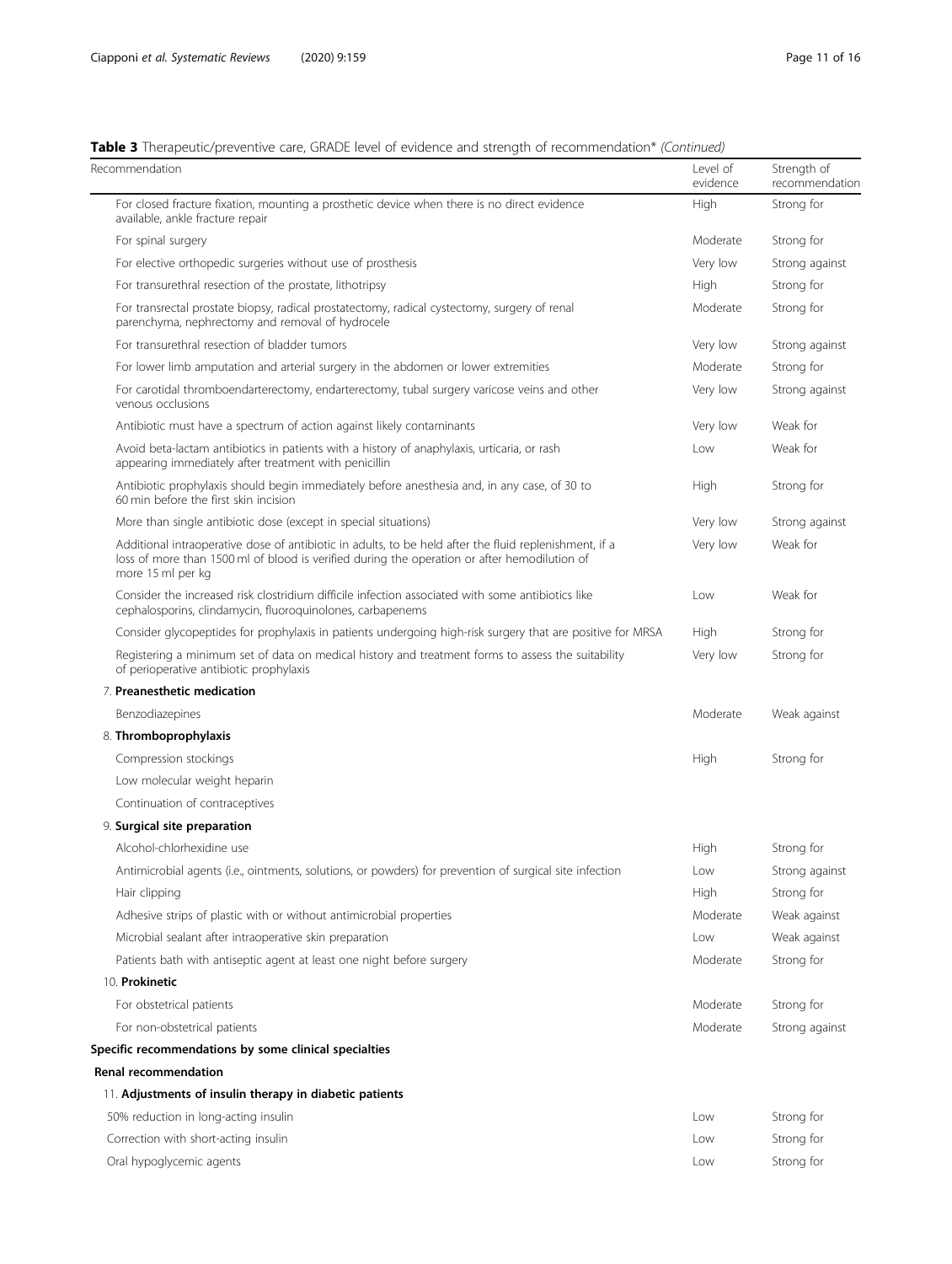# Table 3 Therapeutic/preventive care, GRADE level of evidence and strength of recommendation\* (Continued)

| Recommendation                                                                                                                                                                                                              | Level of<br>evidence | Strength of<br>recommendation |
|-----------------------------------------------------------------------------------------------------------------------------------------------------------------------------------------------------------------------------|----------------------|-------------------------------|
| For closed fracture fixation, mounting a prosthetic device when there is no direct evidence<br>available, ankle fracture repair                                                                                             | High                 | Strong for                    |
| For spinal surgery                                                                                                                                                                                                          | Moderate             | Strong for                    |
| For elective orthopedic surgeries without use of prosthesis                                                                                                                                                                 | Very low             | Strong against                |
| For transurethral resection of the prostate, lithotripsy                                                                                                                                                                    | High                 | Strong for                    |
| For transrectal prostate biopsy, radical prostatectomy, radical cystectomy, surgery of renal<br>parenchyma, nephrectomy and removal of hydrocele                                                                            | Moderate             | Strong for                    |
| For transurethral resection of bladder tumors                                                                                                                                                                               | Very low             | Strong against                |
| For lower limb amputation and arterial surgery in the abdomen or lower extremities                                                                                                                                          | Moderate             | Strong for                    |
| For carotidal thromboendarterectomy, endarterectomy, tubal surgery varicose veins and other<br>venous occlusions                                                                                                            | Very low             | Strong against                |
| Antibiotic must have a spectrum of action against likely contaminants                                                                                                                                                       | Very low             | Weak for                      |
| Avoid beta-lactam antibiotics in patients with a history of anaphylaxis, urticaria, or rash<br>appearing immediately after treatment with penicillin                                                                        | Low                  | Weak for                      |
| Antibiotic prophylaxis should begin immediately before anesthesia and, in any case, of 30 to<br>60 min before the first skin incision                                                                                       | High                 | Strong for                    |
| More than single antibiotic dose (except in special situations)                                                                                                                                                             | Very low             | Strong against                |
| Additional intraoperative dose of antibiotic in adults, to be held after the fluid replenishment, if a<br>loss of more than 1500 ml of blood is verified during the operation or after hemodilution of<br>more 15 ml per kg | Very low             | Weak for                      |
| Consider the increased risk clostridium difficile infection associated with some antibiotics like<br>cephalosporins, clindamycin, fluoroquinolones, carbapenems                                                             | Low                  | Weak for                      |
| Consider glycopeptides for prophylaxis in patients undergoing high-risk surgery that are positive for MRSA                                                                                                                  | High                 | Strong for                    |
| Registering a minimum set of data on medical history and treatment forms to assess the suitability<br>of perioperative antibiotic prophylaxis                                                                               | Very low             | Strong for                    |
| 7. Preanesthetic medication                                                                                                                                                                                                 |                      |                               |
| Benzodiazepines                                                                                                                                                                                                             | Moderate             | Weak against                  |
| 8. Thromboprophylaxis                                                                                                                                                                                                       |                      |                               |
| Compression stockings                                                                                                                                                                                                       | High                 | Strong for                    |
| Low molecular weight heparin                                                                                                                                                                                                |                      |                               |
| Continuation of contraceptives                                                                                                                                                                                              |                      |                               |
| 9. Surgical site preparation                                                                                                                                                                                                |                      |                               |
| Alcohol-chlorhexidine use                                                                                                                                                                                                   | High                 | Strong for                    |
| Antimicrobial agents (i.e., ointments, solutions, or powders) for prevention of surgical site infection                                                                                                                     | Low                  | Strong against                |
| Hair clipping                                                                                                                                                                                                               | High                 | Strong for                    |
| Adhesive strips of plastic with or without antimicrobial properties                                                                                                                                                         | Moderate             | Weak against                  |
| Microbial sealant after intraoperative skin preparation                                                                                                                                                                     | Low                  | Weak against                  |
| Patients bath with antiseptic agent at least one night before surgery                                                                                                                                                       | Moderate             | Strong for                    |
| 10. Prokinetic                                                                                                                                                                                                              |                      |                               |
| For obstetrical patients                                                                                                                                                                                                    | Moderate             | Strong for                    |
| For non-obstetrical patients                                                                                                                                                                                                | Moderate             | Strong against                |
| Specific recommendations by some clinical specialties                                                                                                                                                                       |                      |                               |
| <b>Renal recommendation</b>                                                                                                                                                                                                 |                      |                               |
| 11. Adjustments of insulin therapy in diabetic patients                                                                                                                                                                     |                      |                               |
| 50% reduction in long-acting insulin                                                                                                                                                                                        | Low                  | Strong for                    |
| Correction with short-acting insulin                                                                                                                                                                                        | Low                  | Strong for                    |
| Oral hypoglycemic agents                                                                                                                                                                                                    | Low                  | Strong for                    |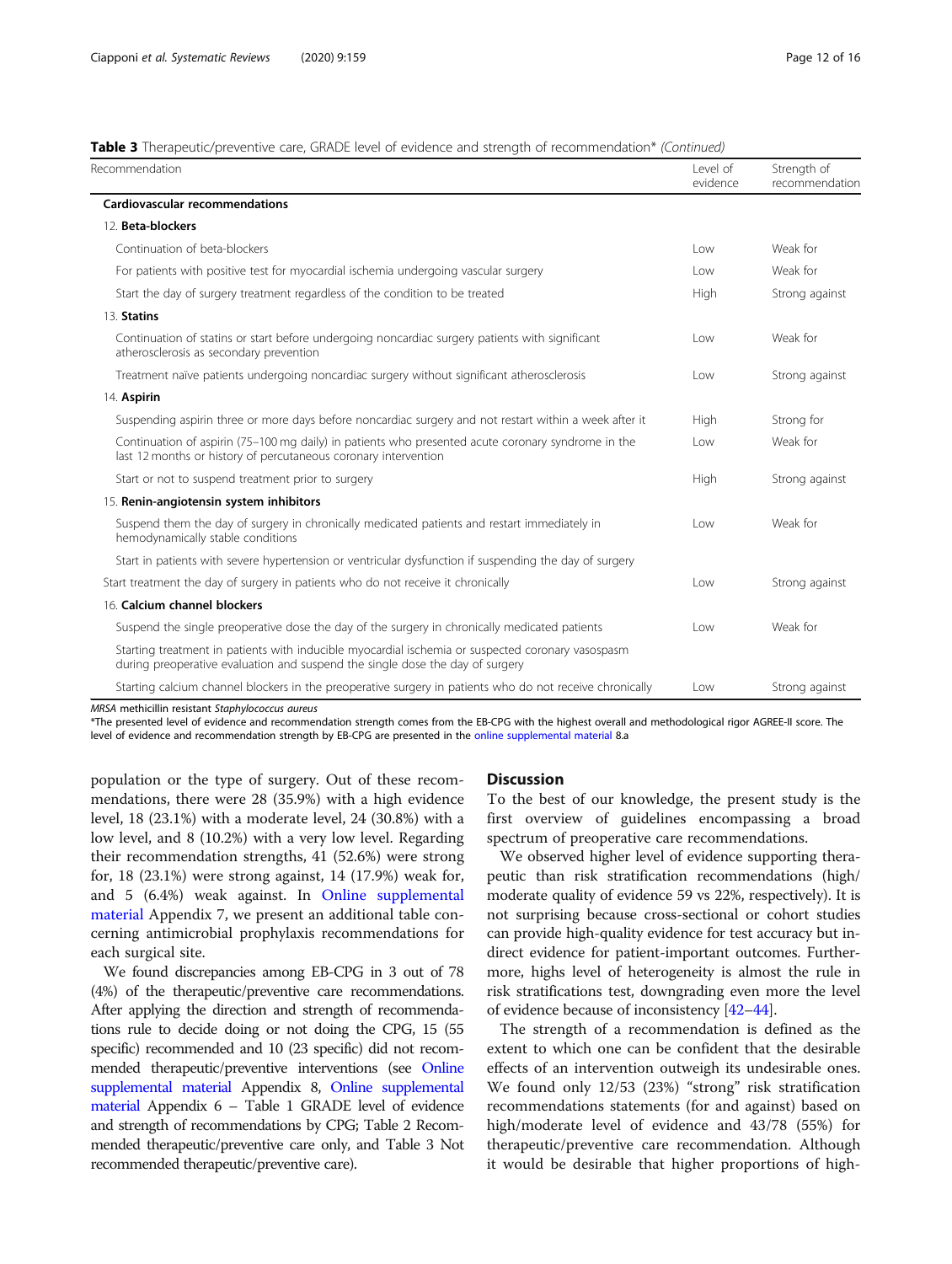Table 3 Therapeutic/preventive care, GRADE level of evidence and strength of recommendation\* (Continued)

| Recommendation                                                                                                                                                                     | Level of<br>evidence | Strength of<br>recommendation |
|------------------------------------------------------------------------------------------------------------------------------------------------------------------------------------|----------------------|-------------------------------|
| Cardiovascular recommendations                                                                                                                                                     |                      |                               |
| 12. Beta-blockers                                                                                                                                                                  |                      |                               |
| Continuation of beta-blockers                                                                                                                                                      | Low                  | Weak for                      |
| For patients with positive test for myocardial ischemia undergoing vascular surgery                                                                                                | Low                  | Weak for                      |
| Start the day of surgery treatment regardless of the condition to be treated                                                                                                       | High                 | Strong against                |
| 13. Statins                                                                                                                                                                        |                      |                               |
| Continuation of statins or start before undergoing noncardiac surgery patients with significant<br>atherosclerosis as secondary prevention                                         | l ow                 | Weak for                      |
| Treatment naïve patients undergoing noncardiac surgery without significant atherosclerosis                                                                                         | l ow                 | Strong against                |
| 14. Aspirin                                                                                                                                                                        |                      |                               |
| Suspending aspirin three or more days before noncardiac surgery and not restart within a week after it                                                                             | High                 | Strong for                    |
| Continuation of aspirin (75-100 mg daily) in patients who presented acute coronary syndrome in the<br>last 12 months or history of percutaneous coronary intervention              | l ow                 | Weak for                      |
| Start or not to suspend treatment prior to surgery                                                                                                                                 | High                 | Strong against                |
| 15. Renin-angiotensin system inhibitors                                                                                                                                            |                      |                               |
| Suspend them the day of surgery in chronically medicated patients and restart immediately in<br>hemodynamically stable conditions                                                  | l ow                 | Weak for                      |
| Start in patients with severe hypertension or ventricular dysfunction if suspending the day of surgery                                                                             |                      |                               |
| Start treatment the day of surgery in patients who do not receive it chronically                                                                                                   | l ow                 | Strong against                |
| 16. Calcium channel blockers                                                                                                                                                       |                      |                               |
| Suspend the single preoperative dose the day of the surgery in chronically medicated patients                                                                                      | l ow                 | Weak for                      |
| Starting treatment in patients with inducible myocardial ischemia or suspected coronary vasospasm<br>during preoperative evaluation and suspend the single dose the day of surgery |                      |                               |
| Starting calcium channel blockers in the preoperative surgery in patients who do not receive chronically                                                                           | Low                  | Strong against                |

MRSA methicillin resistant Staphylococcus aureus

\*The presented level of evidence and recommendation strength comes from the EB-CPG with the highest overall and methodological rigor AGREE-II score. The level of evidence and recommendation strength by EB-CPG are presented in the [online supplemental material](#page-13-0) 8.a

population or the type of surgery. Out of these recommendations, there were 28 (35.9%) with a high evidence level, 18 (23.1%) with a moderate level, 24 (30.8%) with a low level, and 8 (10.2%) with a very low level. Regarding their recommendation strengths, 41 (52.6%) were strong for, 18 (23.1%) were strong against, 14 (17.9%) weak for, and 5 (6.4%) weak against. In [Online supplemental](#page-13-0) [material](#page-13-0) Appendix 7, we present an additional table concerning antimicrobial prophylaxis recommendations for each surgical site.

We found discrepancies among EB-CPG in 3 out of 78 (4%) of the therapeutic/preventive care recommendations. After applying the direction and strength of recommendations rule to decide doing or not doing the CPG, 15 (55 specific) recommended and 10 (23 specific) did not recommended therapeutic/preventive interventions (see [Online](#page-13-0) [supplemental material](#page-13-0) Appendix 8, [Online supplemental](#page-13-0) [material](#page-13-0) Appendix 6 – Table 1 GRADE level of evidence and strength of recommendations by CPG; Table 2 Recommended therapeutic/preventive care only, and Table 3 Not recommended therapeutic/preventive care).

#### Discussion

To the best of our knowledge, the present study is the first overview of guidelines encompassing a broad spectrum of preoperative care recommendations.

We observed higher level of evidence supporting therapeutic than risk stratification recommendations (high/ moderate quality of evidence 59 vs 22%, respectively). It is not surprising because cross-sectional or cohort studies can provide high-quality evidence for test accuracy but indirect evidence for patient-important outcomes. Furthermore, highs level of heterogeneity is almost the rule in risk stratifications test, downgrading even more the level of evidence because of inconsistency [\[42](#page-15-0)–[44](#page-15-0)].

The strength of a recommendation is defined as the extent to which one can be confident that the desirable effects of an intervention outweigh its undesirable ones. We found only 12/53 (23%) "strong" risk stratification recommendations statements (for and against) based on high/moderate level of evidence and 43/78 (55%) for therapeutic/preventive care recommendation. Although it would be desirable that higher proportions of high-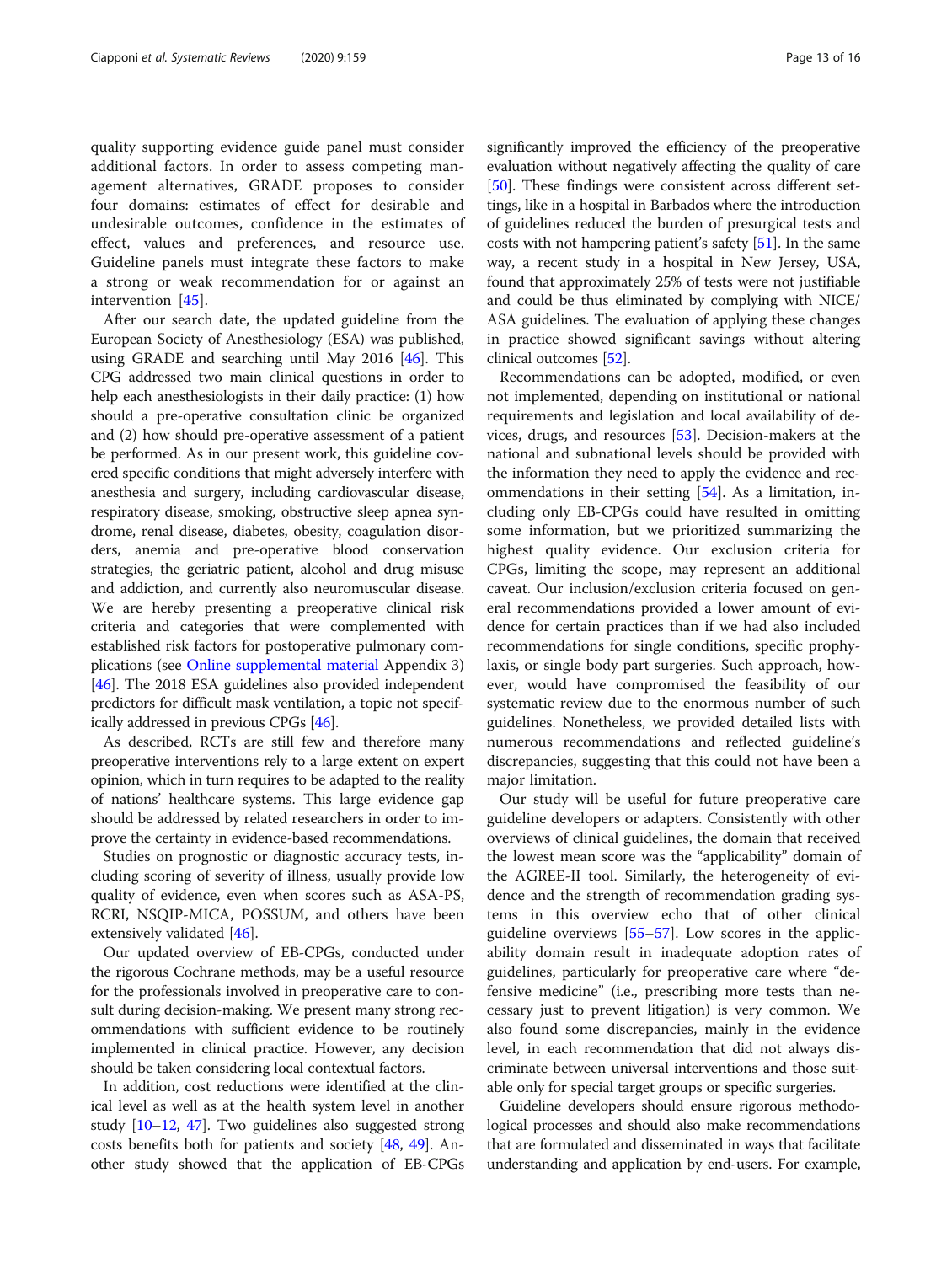quality supporting evidence guide panel must consider additional factors. In order to assess competing management alternatives, GRADE proposes to consider four domains: estimates of effect for desirable and undesirable outcomes, confidence in the estimates of effect, values and preferences, and resource use. Guideline panels must integrate these factors to make a strong or weak recommendation for or against an intervention [[45\]](#page-15-0).

After our search date, the updated guideline from the European Society of Anesthesiology (ESA) was published, using GRADE and searching until May 2016 [\[46\]](#page-15-0). This CPG addressed two main clinical questions in order to help each anesthesiologists in their daily practice: (1) how should a pre-operative consultation clinic be organized and (2) how should pre-operative assessment of a patient be performed. As in our present work, this guideline covered specific conditions that might adversely interfere with anesthesia and surgery, including cardiovascular disease, respiratory disease, smoking, obstructive sleep apnea syndrome, renal disease, diabetes, obesity, coagulation disorders, anemia and pre-operative blood conservation strategies, the geriatric patient, alcohol and drug misuse and addiction, and currently also neuromuscular disease. We are hereby presenting a preoperative clinical risk criteria and categories that were complemented with established risk factors for postoperative pulmonary complications (see [Online supplemental material](#page-13-0) Appendix 3) [[46](#page-15-0)]. The 2018 ESA guidelines also provided independent predictors for difficult mask ventilation, a topic not specifically addressed in previous CPGs [\[46\]](#page-15-0).

As described, RCTs are still few and therefore many preoperative interventions rely to a large extent on expert opinion, which in turn requires to be adapted to the reality of nations' healthcare systems. This large evidence gap should be addressed by related researchers in order to improve the certainty in evidence-based recommendations.

Studies on prognostic or diagnostic accuracy tests, including scoring of severity of illness, usually provide low quality of evidence, even when scores such as ASA-PS, RCRI, NSQIP-MICA, POSSUM, and others have been extensively validated [[46](#page-15-0)].

Our updated overview of EB-CPGs, conducted under the rigorous Cochrane methods, may be a useful resource for the professionals involved in preoperative care to consult during decision-making. We present many strong recommendations with sufficient evidence to be routinely implemented in clinical practice. However, any decision should be taken considering local contextual factors.

In addition, cost reductions were identified at the clinical level as well as at the health system level in another study [\[10](#page-14-0)–[12,](#page-14-0) [47](#page-15-0)]. Two guidelines also suggested strong costs benefits both for patients and society [[48](#page-15-0), [49\]](#page-15-0). Another study showed that the application of EB-CPGs significantly improved the efficiency of the preoperative evaluation without negatively affecting the quality of care [[50](#page-15-0)]. These findings were consistent across different settings, like in a hospital in Barbados where the introduction of guidelines reduced the burden of presurgical tests and costs with not hampering patient's safety [[51\]](#page-15-0). In the same way, a recent study in a hospital in New Jersey, USA, found that approximately 25% of tests were not justifiable and could be thus eliminated by complying with NICE/ ASA guidelines. The evaluation of applying these changes in practice showed significant savings without altering clinical outcomes [\[52\]](#page-15-0).

Recommendations can be adopted, modified, or even not implemented, depending on institutional or national requirements and legislation and local availability of devices, drugs, and resources [\[53](#page-15-0)]. Decision-makers at the national and subnational levels should be provided with the information they need to apply the evidence and recommendations in their setting [\[54\]](#page-15-0). As a limitation, including only EB-CPGs could have resulted in omitting some information, but we prioritized summarizing the highest quality evidence. Our exclusion criteria for CPGs, limiting the scope, may represent an additional caveat. Our inclusion/exclusion criteria focused on general recommendations provided a lower amount of evidence for certain practices than if we had also included recommendations for single conditions, specific prophylaxis, or single body part surgeries. Such approach, however, would have compromised the feasibility of our systematic review due to the enormous number of such guidelines. Nonetheless, we provided detailed lists with numerous recommendations and reflected guideline's discrepancies, suggesting that this could not have been a major limitation.

Our study will be useful for future preoperative care guideline developers or adapters. Consistently with other overviews of clinical guidelines, the domain that received the lowest mean score was the "applicability" domain of the AGREE-II tool. Similarly, the heterogeneity of evidence and the strength of recommendation grading systems in this overview echo that of other clinical guideline overviews [[55](#page-15-0)–[57](#page-15-0)]. Low scores in the applicability domain result in inadequate adoption rates of guidelines, particularly for preoperative care where "defensive medicine" (i.e., prescribing more tests than necessary just to prevent litigation) is very common. We also found some discrepancies, mainly in the evidence level, in each recommendation that did not always discriminate between universal interventions and those suitable only for special target groups or specific surgeries.

Guideline developers should ensure rigorous methodological processes and should also make recommendations that are formulated and disseminated in ways that facilitate understanding and application by end-users. For example,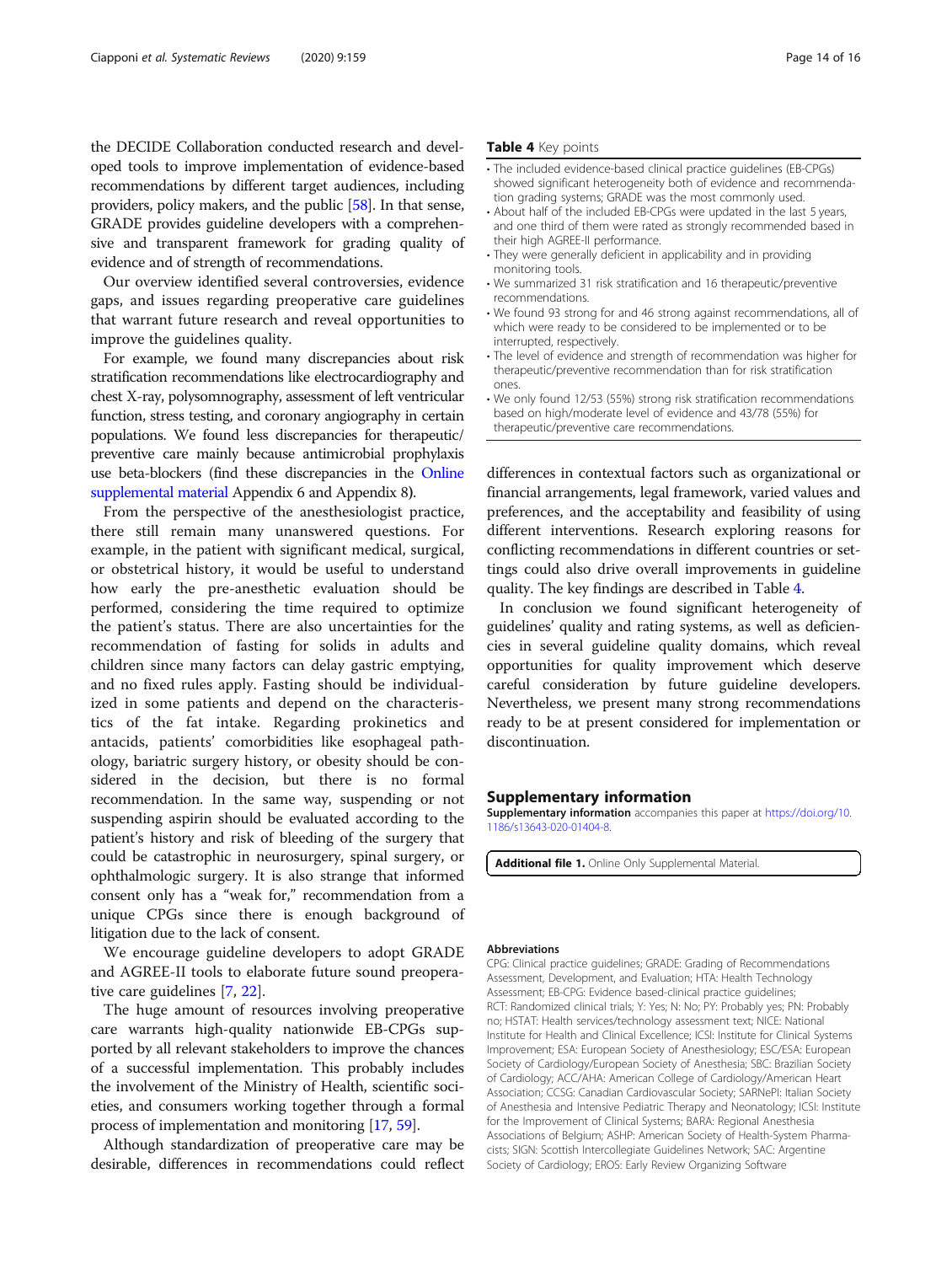<span id="page-13-0"></span>the DECIDE Collaboration conducted research and developed tools to improve implementation of evidence-based recommendations by different target audiences, including providers, policy makers, and the public [[58](#page-15-0)]. In that sense, GRADE provides guideline developers with a comprehensive and transparent framework for grading quality of evidence and of strength of recommendations.

Our overview identified several controversies, evidence gaps, and issues regarding preoperative care guidelines that warrant future research and reveal opportunities to improve the guidelines quality.

For example, we found many discrepancies about risk stratification recommendations like electrocardiography and chest X-ray, polysomnography, assessment of left ventricular function, stress testing, and coronary angiography in certain populations. We found less discrepancies for therapeutic/ preventive care mainly because antimicrobial prophylaxis use beta-blockers (find these discrepancies in the Online supplemental material Appendix 6 and Appendix 8).

From the perspective of the anesthesiologist practice, there still remain many unanswered questions. For example, in the patient with significant medical, surgical, or obstetrical history, it would be useful to understand how early the pre-anesthetic evaluation should be performed, considering the time required to optimize the patient's status. There are also uncertainties for the recommendation of fasting for solids in adults and children since many factors can delay gastric emptying, and no fixed rules apply. Fasting should be individualized in some patients and depend on the characteristics of the fat intake. Regarding prokinetics and antacids, patients' comorbidities like esophageal pathology, bariatric surgery history, or obesity should be considered in the decision, but there is no formal recommendation. In the same way, suspending or not suspending aspirin should be evaluated according to the patient's history and risk of bleeding of the surgery that could be catastrophic in neurosurgery, spinal surgery, or ophthalmologic surgery. It is also strange that informed consent only has a "weak for," recommendation from a unique CPGs since there is enough background of litigation due to the lack of consent.

We encourage guideline developers to adopt GRADE and AGREE-II tools to elaborate future sound preoperative care guidelines [\[7,](#page-14-0) [22\]](#page-14-0).

The huge amount of resources involving preoperative care warrants high-quality nationwide EB-CPGs supported by all relevant stakeholders to improve the chances of a successful implementation. This probably includes the involvement of the Ministry of Health, scientific societies, and consumers working together through a formal process of implementation and monitoring [[17](#page-14-0), [59\]](#page-15-0).

Although standardization of preoperative care may be desirable, differences in recommendations could reflect

- The included evidence-based clinical practice guidelines (EB-CPGs) showed significant heterogeneity both of evidence and recommendation grading systems; GRADE was the most commonly used.
- About half of the included EB-CPGs were updated in the last 5 years. and one third of them were rated as strongly recommended based in their high AGREE-II performance.
- They were generally deficient in applicability and in providing monitoring tools.
- We summarized 31 risk stratification and 16 therapeutic/preventive recommendations.
- We found 93 strong for and 46 strong against recommendations, all of which were ready to be considered to be implemented or to be interrupted, respectively.
- The level of evidence and strength of recommendation was higher for therapeutic/preventive recommendation than for risk stratification ones.
- We only found 12/53 (55%) strong risk stratification recommendations based on high/moderate level of evidence and 43/78 (55%) for therapeutic/preventive care recommendations.

differences in contextual factors such as organizational or financial arrangements, legal framework, varied values and preferences, and the acceptability and feasibility of using different interventions. Research exploring reasons for conflicting recommendations in different countries or settings could also drive overall improvements in guideline quality. The key findings are described in Table 4.

In conclusion we found significant heterogeneity of guidelines' quality and rating systems, as well as deficiencies in several guideline quality domains, which reveal opportunities for quality improvement which deserve careful consideration by future guideline developers. Nevertheless, we present many strong recommendations ready to be at present considered for implementation or discontinuation.

#### Supplementary information

Supplementary information accompanies this paper at [https://doi.org/10.](https://doi.org/10.1186/s13643-020-01404-8) [1186/s13643-020-01404-8](https://doi.org/10.1186/s13643-020-01404-8).

Additional file 1. Online Only Supplemental Material.

#### Abbreviations

CPG: Clinical practice guidelines; GRADE: Grading of Recommendations Assessment, Development, and Evaluation; HTA: Health Technology Assessment; EB-CPG: Evidence based-clinical practice guidelines; RCT: Randomized clinical trials; Y: Yes; N: No; PY: Probably yes; PN: Probably no; HSTAT: Health services/technology assessment text; NICE: National Institute for Health and Clinical Excellence; ICSI: Institute for Clinical Systems Improvement; ESA: European Society of Anesthesiology; ESC/ESA: European Society of Cardiology/European Society of Anesthesia; SBC: Brazilian Society of Cardiology; ACC/AHA: American College of Cardiology/American Heart Association; CCSG: Canadian Cardiovascular Society; SARNePI: Italian Society of Anesthesia and Intensive Pediatric Therapy and Neonatology; ICSI: Institute for the Improvement of Clinical Systems; BARA: Regional Anesthesia Associations of Belgium; ASHP: American Society of Health-System Pharmacists; SIGN: Scottish Intercollegiate Guidelines Network; SAC: Argentine Society of Cardiology; EROS: Early Review Organizing Software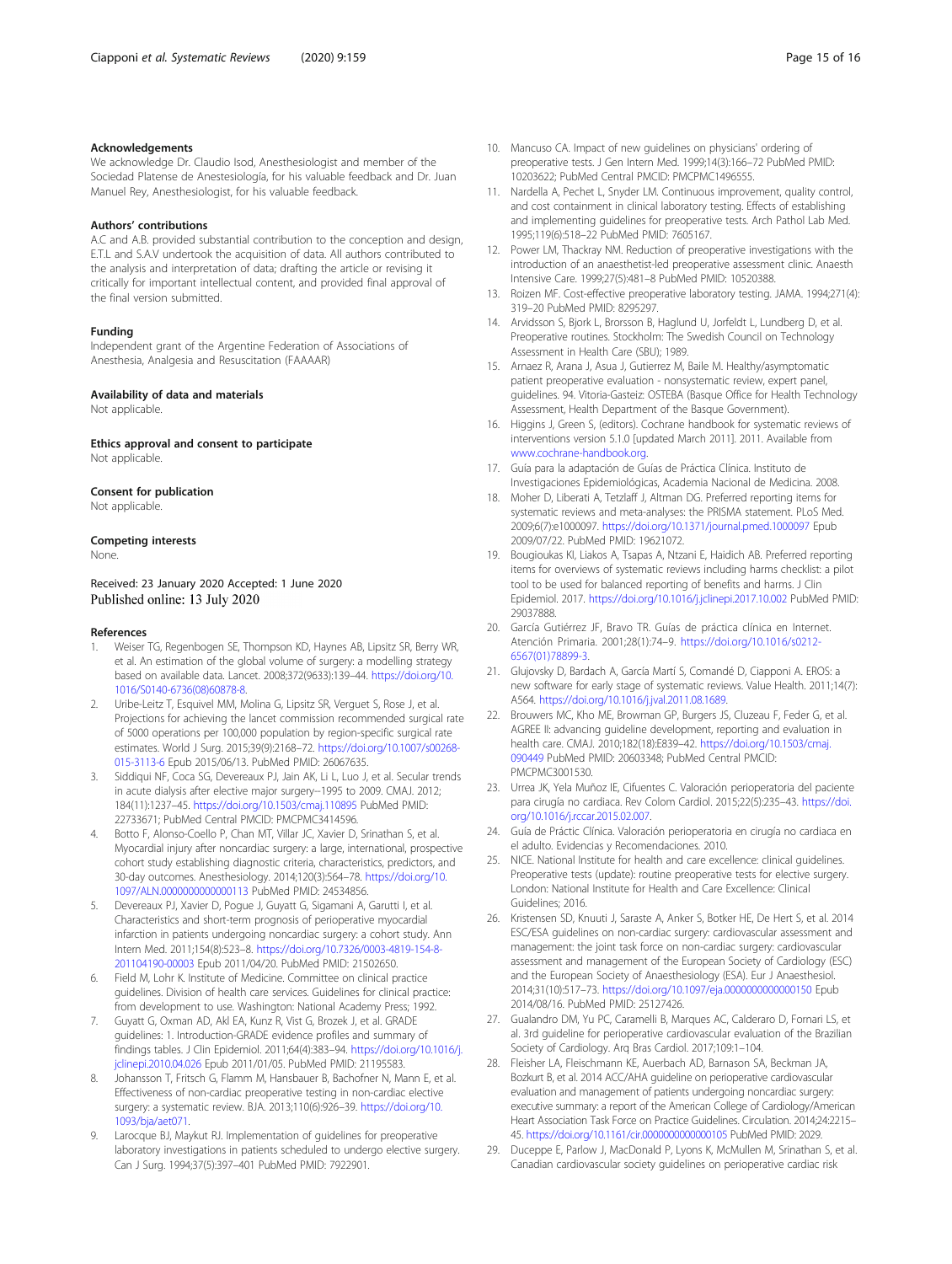<span id="page-14-0"></span>We acknowledge Dr. Claudio Isod, Anesthesiologist and member of the Sociedad Platense de Anestesiología, for his valuable feedback and Dr. Juan Manuel Rey, Anesthesiologist, for his valuable feedback.

#### Authors' contributions

A.C and A.B. provided substantial contribution to the conception and design, E.T.L and S.A.V undertook the acquisition of data. All authors contributed to the analysis and interpretation of data; drafting the article or revising it critically for important intellectual content, and provided final approval of the final version submitted.

#### Funding

Independent grant of the Argentine Federation of Associations of Anesthesia, Analgesia and Resuscitation (FAAAAR)

#### Availability of data and materials

Not applicable.

Ethics approval and consent to participate Not applicable.

#### Consent for publication

Not applicable.

#### Competing interests

None.

Received: 23 January 2020 Accepted: 1 June 2020<br>Published online: 13 July 2020

#### References

- 1. Weiser TG, Regenbogen SE, Thompson KD, Haynes AB, Lipsitz SR, Berry WR, et al. An estimation of the global volume of surgery: a modelling strategy based on available data. Lancet. 2008;372(9633):139–44. [https://doi.org/10.](https://doi.org/10.1016/S0140-6736(08)60878-8) [1016/S0140-6736\(08\)60878-8.](https://doi.org/10.1016/S0140-6736(08)60878-8)
- 2. Uribe-Leitz T, Esquivel MM, Molina G, Lipsitz SR, Verguet S, Rose J, et al. Projections for achieving the lancet commission recommended surgical rate of 5000 operations per 100,000 population by region-specific surgical rate estimates. World J Surg. 2015;39(9):2168–72. [https://doi.org/10.1007/s00268-](https://doi.org/10.1007/s00268-015-3113-6) [015-3113-6](https://doi.org/10.1007/s00268-015-3113-6) Epub 2015/06/13. PubMed PMID: 26067635.
- 3. Siddiqui NF, Coca SG, Devereaux PJ, Jain AK, Li L, Luo J, et al. Secular trends in acute dialysis after elective major surgery--1995 to 2009. CMAJ. 2012; 184(11):1237–45. <https://doi.org/10.1503/cmaj.110895> PubMed PMID: 22733671; PubMed Central PMCID: PMCPMC3414596.
- 4. Botto F, Alonso-Coello P, Chan MT, Villar JC, Xavier D, Srinathan S, et al. Myocardial injury after noncardiac surgery: a large, international, prospective cohort study establishing diagnostic criteria, characteristics, predictors, and 30-day outcomes. Anesthesiology. 2014;120(3):564–78. [https://doi.org/10.](https://doi.org/10.1097/ALN.0000000000000113) [1097/ALN.0000000000000113](https://doi.org/10.1097/ALN.0000000000000113) PubMed PMID: 24534856.
- 5. Devereaux PJ, Xavier D, Pogue J, Guyatt G, Sigamani A, Garutti I, et al. Characteristics and short-term prognosis of perioperative myocardial infarction in patients undergoing noncardiac surgery: a cohort study. Ann Intern Med. 2011;154(8):523–8. [https://doi.org/10.7326/0003-4819-154-8-](https://doi.org/10.7326/0003-4819-154-8-201104190-00003) [201104190-00003](https://doi.org/10.7326/0003-4819-154-8-201104190-00003) Epub 2011/04/20. PubMed PMID: 21502650.
- Field M, Lohr K. Institute of Medicine. Committee on clinical practice guidelines. Division of health care services. Guidelines for clinical practice: from development to use. Washington: National Academy Press; 1992.
- 7. Guyatt G, Oxman AD, Akl EA, Kunz R, Vist G, Brozek J, et al. GRADE guidelines: 1. Introduction-GRADE evidence profiles and summary of findings tables. J Clin Epidemiol. 2011;64(4):383–94. [https://doi.org/10.1016/j.](https://doi.org/10.1016/j.jclinepi.2010.04.026) [jclinepi.2010.04.026](https://doi.org/10.1016/j.jclinepi.2010.04.026) Epub 2011/01/05. PubMed PMID: 21195583.
- 8. Johansson T, Fritsch G, Flamm M, Hansbauer B, Bachofner N, Mann E, et al. Effectiveness of non-cardiac preoperative testing in non-cardiac elective surgery: a systematic review. BJA. 2013;110(6):926–39. [https://doi.org/10.](https://doi.org/10.1093/bja/aet071) [1093/bja/aet071.](https://doi.org/10.1093/bja/aet071)
- 9. Larocque BJ, Maykut RJ. Implementation of guidelines for preoperative laboratory investigations in patients scheduled to undergo elective surgery. Can J Surg. 1994;37(5):397–401 PubMed PMID: 7922901.
- 10. Mancuso CA. Impact of new guidelines on physicians' ordering of preoperative tests. J Gen Intern Med. 1999;14(3):166–72 PubMed PMID: 10203622; PubMed Central PMCID: PMCPMC1496555.
- 11. Nardella A, Pechet L, Snyder LM. Continuous improvement, quality control, and cost containment in clinical laboratory testing. Effects of establishing and implementing guidelines for preoperative tests. Arch Pathol Lab Med. 1995;119(6):518–22 PubMed PMID: 7605167.
- 12. Power LM, Thackray NM. Reduction of preoperative investigations with the introduction of an anaesthetist-led preoperative assessment clinic. Anaesth Intensive Care. 1999;27(5):481–8 PubMed PMID: 10520388.
- 13. Roizen MF. Cost-effective preoperative laboratory testing. JAMA. 1994;271(4): 319–20 PubMed PMID: 8295297.
- 14. Arvidsson S, Bjork L, Brorsson B, Haglund U, Jorfeldt L, Lundberg D, et al. Preoperative routines. Stockholm: The Swedish Council on Technology Assessment in Health Care (SBU); 1989.
- 15. Arnaez R, Arana J, Asua J, Gutierrez M, Baile M. Healthy/asymptomatic patient preoperative evaluation - nonsystematic review, expert panel, guidelines. 94. Vitoria-Gasteiz: OSTEBA (Basque Office for Health Technology Assessment, Health Department of the Basque Government).
- 16. Higgins J, Green S, (editors). Cochrane handbook for systematic reviews of interventions version 5.1.0 [updated March 2011]. 2011. Available from [www.cochrane-handbook.org.](http://www.cochrane-handbook.org)
- 17. Guía para la adaptación de Guías de Práctica Clínica. Instituto de Investigaciones Epidemiológicas, Academia Nacional de Medicina. 2008.
- 18. Moher D, Liberati A, Tetzlaff J, Altman DG. Preferred reporting items for systematic reviews and meta-analyses: the PRISMA statement. PLoS Med. 2009;6(7):e1000097. <https://doi.org/10.1371/journal.pmed.1000097> Epub 2009/07/22. PubMed PMID: 19621072.
- 19. Bougioukas KI, Liakos A, Tsapas A, Ntzani E, Haidich AB. Preferred reporting items for overviews of systematic reviews including harms checklist: a pilot tool to be used for balanced reporting of benefits and harms. J Clin Epidemiol. 2017. <https://doi.org/10.1016/j.jclinepi.2017.10.002> PubMed PMID: 29037888.
- 20. García Gutiérrez JF, Bravo TR. Guías de práctica clínica en Internet. Atención Primaria. 2001;28(1):74–9. [https://doi.org/10.1016/s0212-](https://doi.org/10.1016/s0212-6567(01)78899-3) [6567\(01\)78899-3.](https://doi.org/10.1016/s0212-6567(01)78899-3)
- 21. Glujovsky D, Bardach A, García Martí S, Comandé D, Ciapponi A. EROS: a new software for early stage of systematic reviews. Value Health. 2011;14(7): A564. <https://doi.org/10.1016/j.jval.2011.08.1689>.
- 22. Brouwers MC, Kho ME, Browman GP, Burgers JS, Cluzeau F, Feder G, et al. AGREE II: advancing guideline development, reporting and evaluation in health care. CMAJ. 2010;182(18):E839–42. [https://doi.org/10.1503/cmaj.](https://doi.org/10.1503/cmaj.090449) [090449](https://doi.org/10.1503/cmaj.090449) PubMed PMID: 20603348; PubMed Central PMCID: PMCPMC3001530.
- 23. Urrea JK, Yela Muñoz IE, Cifuentes C. Valoración perioperatoria del paciente para cirugía no cardiaca. Rev Colom Cardiol. 2015;22(5):235–43. [https://doi.](https://doi.org/10.1016/j.rccar.2015.02.007) [org/10.1016/j.rccar.2015.02.007.](https://doi.org/10.1016/j.rccar.2015.02.007)
- 24. Guía de Práctic Clínica. Valoración perioperatoria en cirugía no cardiaca en el adulto. Evidencias y Recomendaciones. 2010.
- 25. NICE. National Institute for health and care excellence: clinical guidelines. Preoperative tests (update): routine preoperative tests for elective surgery. London: National Institute for Health and Care Excellence: Clinical Guidelines; 2016.
- 26. Kristensen SD, Knuuti J, Saraste A, Anker S, Botker HE, De Hert S, et al. 2014 ESC/ESA guidelines on non-cardiac surgery: cardiovascular assessment and management: the joint task force on non-cardiac surgery: cardiovascular assessment and management of the European Society of Cardiology (ESC) and the European Society of Anaesthesiology (ESA). Eur J Anaesthesiol. 2014;31(10):517–73. <https://doi.org/10.1097/eja.0000000000000150> Epub 2014/08/16. PubMed PMID: 25127426.
- 27. Gualandro DM, Yu PC, Caramelli B, Marques AC, Calderaro D, Fornari LS, et al. 3rd guideline for perioperative cardiovascular evaluation of the Brazilian Society of Cardiology. Arq Bras Cardiol. 2017;109:1–104.
- 28. Fleisher LA, Fleischmann KE, Auerbach AD, Barnason SA, Beckman JA, Bozkurt B, et al. 2014 ACC/AHA guideline on perioperative cardiovascular evaluation and management of patients undergoing noncardiac surgery: executive summary: a report of the American College of Cardiology/American Heart Association Task Force on Practice Guidelines. Circulation. 2014;24:2215– 45. <https://doi.org/10.1161/cir.0000000000000105> PubMed PMID: 2029.
- 29. Duceppe E, Parlow J, MacDonald P, Lyons K, McMullen M, Srinathan S, et al. Canadian cardiovascular society guidelines on perioperative cardiac risk